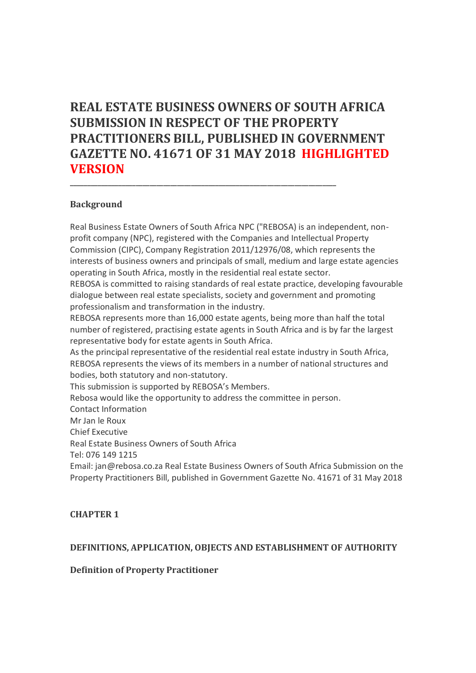# **REAL ESTATE BUSINESS OWNERS OF SOUTH AFRICA SUBMISSION IN RESPECT OF THE PROPERTY PRACTITIONERS BILL, PUBLISHED IN GOVERNMENT GAZETTE NO. 41671 OF 31 MAY 2018 HIGHLIGHTED VERSION**

**\_\_\_\_\_\_\_\_\_\_\_\_\_\_\_\_\_\_\_\_\_\_\_\_\_\_\_\_\_\_\_\_\_\_\_\_\_\_\_\_\_\_\_\_\_\_\_\_\_\_\_\_\_\_\_\_\_\_\_\_\_\_\_\_\_\_\_\_\_\_\_\_\_\_\_\_\_**

### **Background**

Real Business Estate Owners of South Africa NPC ("REBOSA) is an independent, nonprofit company (NPC), registered with the Companies and Intellectual Property Commission (CIPC), Company Registration 2011/12976/08, which represents the interests of business owners and principals of small, medium and large estate agencies operating in South Africa, mostly in the residential real estate sector.

REBOSA is committed to raising standards of real estate practice, developing favourable dialogue between real estate specialists, society and government and promoting professionalism and transformation in the industry.

REBOSA represents more than 16,000 estate agents, being more than half the total number of registered, practising estate agents in South Africa and is by far the largest representative body for estate agents in South Africa.

As the principal representative of the residential real estate industry in South Africa, REBOSA represents the views of its members in a number of national structures and bodies, both statutory and non-statutory.

This submission is supported by REBOSA's Members.

Rebosa would like the opportunity to address the committee in person.

Contact Information

Mr Jan le Roux

Chief Executive

Real Estate Business Owners of South Africa

Tel: 076 149 1215

Email: jan@rebosa.co.za Real Estate Business Owners of South Africa Submission on the Property Practitioners Bill, published in Government Gazette No. 41671 of 31 May 2018

# **CHAPTER 1**

# **DEFINITIONS, APPLICATION, OBJECTS AND ESTABLISHMENT OF AUTHORITY**

**Definition of Property Practitioner**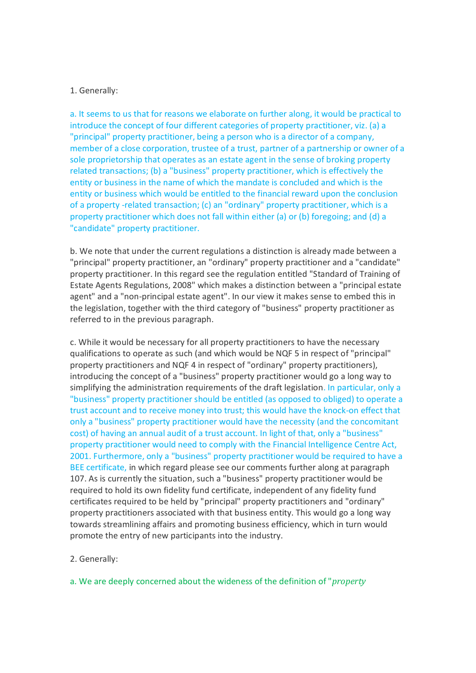### 1. Generally:

a. It seems to us that for reasons we elaborate on further along, it would be practical to introduce the concept of four different categories of property practitioner, viz. (a) a "principal" property practitioner, being a person who is a director of a company, member of a close corporation, trustee of a trust, partner of a partnership or owner of a sole proprietorship that operates as an estate agent in the sense of broking property related transactions; (b) a "business" property practitioner, which is effectively the entity or business in the name of which the mandate is concluded and which is the entity or business which would be entitled to the financial reward upon the conclusion of a property -related transaction; (c) an "ordinary" property practitioner, which is a property practitioner which does not fall within either (a) or (b) foregoing; and (d) a "candidate" property practitioner.

b. We note that under the current regulations a distinction is already made between a "principal" property practitioner, an "ordinary" property practitioner and a "candidate" property practitioner. In this regard see the regulation entitled "Standard of Training of Estate Agents Regulations, 2008" which makes a distinction between a "principal estate agent" and a "non-principal estate agent". In our view it makes sense to embed this in the legislation, together with the third category of "business" property practitioner as referred to in the previous paragraph.

c. While it would be necessary for all property practitioners to have the necessary qualifications to operate as such (and which would be NQF 5 in respect of "principal" property practitioners and NQF 4 in respect of "ordinary" property practitioners), introducing the concept of a "business" property practitioner would go a long way to simplifying the administration requirements of the draft legislation. In particular, only a "business" property practitioner should be entitled (as opposed to obliged) to operate a trust account and to receive money into trust; this would have the knock-on effect that only a "business" property practitioner would have the necessity (and the concomitant cost) of having an annual audit of a trust account. In light of that, only a "business" property practitioner would need to comply with the Financial Intelligence Centre Act, 2001. Furthermore, only a "business" property practitioner would be required to have a BEE certificate, in which regard please see our comments further along at paragraph 107. As is currently the situation, such a "business" property practitioner would be required to hold its own fidelity fund certificate, independent of any fidelity fund certificates required to be held by "principal" property practitioners and "ordinary" property practitioners associated with that business entity. This would go a long way towards streamlining affairs and promoting business efficiency, which in turn would promote the entry of new participants into the industry.

#### 2. Generally:

a. We are deeply concerned about the wideness of the definition of "*property*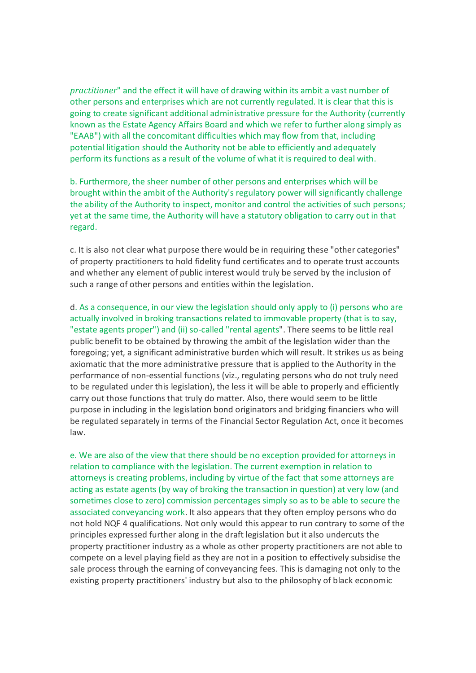*practitioner*" and the effect it will have of drawing within its ambit a vast number of other persons and enterprises which are not currently regulated. It is clear that this is going to create significant additional administrative pressure for the Authority (currently known as the Estate Agency Affairs Board and which we refer to further along simply as "EAAB") with all the concomitant difficulties which may flow from that, including potential litigation should the Authority not be able to efficiently and adequately perform its functions as a result of the volume of what it is required to deal with.

b. Furthermore, the sheer number of other persons and enterprises which will be brought within the ambit of the Authority's regulatory power will significantly challenge the ability of the Authority to inspect, monitor and control the activities of such persons; yet at the same time, the Authority will have a statutory obligation to carry out in that regard.

c. It is also not clear what purpose there would be in requiring these "other categories" of property practitioners to hold fidelity fund certificates and to operate trust accounts and whether any element of public interest would truly be served by the inclusion of such a range of other persons and entities within the legislation.

d. As a consequence, in our view the legislation should only apply to (i) persons who are actually involved in broking transactions related to immovable property (that is to say, "estate agents proper") and (ii) so-called "rental agents". There seems to be little real public benefit to be obtained by throwing the ambit of the legislation wider than the foregoing; yet, a significant administrative burden which will result. It strikes us as being axiomatic that the more administrative pressure that is applied to the Authority in the performance of non-essential functions (viz., regulating persons who do not truly need to be regulated under this legislation), the less it will be able to properly and efficiently carry out those functions that truly do matter. Also, there would seem to be little purpose in including in the legislation bond originators and bridging financiers who will be regulated separately in terms of the Financial Sector Regulation Act, once it becomes law.

e. We are also of the view that there should be no exception provided for attorneys in relation to compliance with the legislation. The current exemption in relation to attorneys is creating problems, including by virtue of the fact that some attorneys are acting as estate agents (by way of broking the transaction in question) at very low (and sometimes close to zero) commission percentages simply so as to be able to secure the associated conveyancing work. It also appears that they often employ persons who do not hold NQF 4 qualifications. Not only would this appear to run contrary to some of the principles expressed further along in the draft legislation but it also undercuts the property practitioner industry as a whole as other property practitioners are not able to compete on a level playing field as they are not in a position to effectively subsidise the sale process through the earning of conveyancing fees. This is damaging not only to the existing property practitioners' industry but also to the philosophy of black economic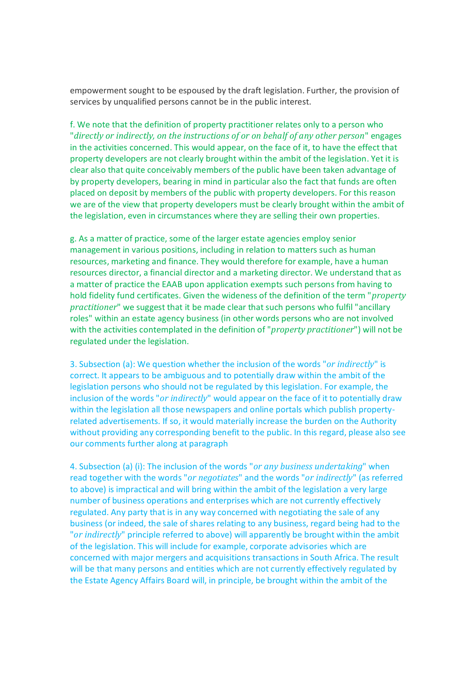empowerment sought to be espoused by the draft legislation. Further, the provision of services by unqualified persons cannot be in the public interest.

f. We note that the definition of property practitioner relates only to a person who "*directly or indirectly, on the instructions of or on behalf of any other person*" engages in the activities concerned. This would appear, on the face of it, to have the effect that property developers are not clearly brought within the ambit of the legislation. Yet it is clear also that quite conceivably members of the public have been taken advantage of by property developers, bearing in mind in particular also the fact that funds are often placed on deposit by members of the public with property developers. For this reason we are of the view that property developers must be clearly brought within the ambit of the legislation, even in circumstances where they are selling their own properties.

g. As a matter of practice, some of the larger estate agencies employ senior management in various positions, including in relation to matters such as human resources, marketing and finance. They would therefore for example, have a human resources director, a financial director and a marketing director. We understand that as a matter of practice the EAAB upon application exempts such persons from having to hold fidelity fund certificates. Given the wideness of the definition of the term "*property practitioner*" we suggest that it be made clear that such persons who fulfil "ancillary roles" within an estate agency business (in other words persons who are not involved with the activities contemplated in the definition of "*property practitioner*") will not be regulated under the legislation.

3. Subsection (a): We question whether the inclusion of the words "*or indirectly*" is correct. It appears to be ambiguous and to potentially draw within the ambit of the legislation persons who should not be regulated by this legislation. For example, the inclusion of the words "*or indirectly*" would appear on the face of it to potentially draw within the legislation all those newspapers and online portals which publish propertyrelated advertisements. If so, it would materially increase the burden on the Authority without providing any corresponding benefit to the public. In this regard, please also see our comments further along at paragraph

4. Subsection (a) (i): The inclusion of the words "*or any business undertaking*" when read together with the words "*or negotiates*" and the words "*or indirectly*" (as referred to above) is impractical and will bring within the ambit of the legislation a very large number of business operations and enterprises which are not currently effectively regulated. Any party that is in any way concerned with negotiating the sale of any business (or indeed, the sale of shares relating to any business, regard being had to the "*or indirectly*" principle referred to above) will apparently be brought within the ambit of the legislation. This will include for example, corporate advisories which are concerned with major mergers and acquisitions transactions in South Africa. The result will be that many persons and entities which are not currently effectively regulated by the Estate Agency Affairs Board will, in principle, be brought within the ambit of the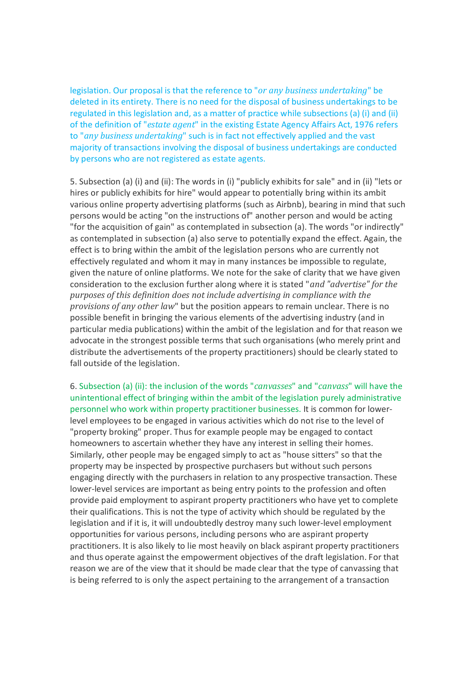legislation. Our proposal is that the reference to "*or any business undertaking*" be deleted in its entirety. There is no need for the disposal of business undertakings to be regulated in this legislation and, as a matter of practice while subsections (a) (i) and (ii) of the definition of "*estate agent*" in the existing Estate Agency Affairs Act, 1976 refers to "*any business undertaking*" such is in fact not effectively applied and the vast majority of transactions involving the disposal of business undertakings are conducted by persons who are not registered as estate agents.

5. Subsection (a) (i) and (ii): The words in (i) "publicly exhibits for sale" and in (ii) "lets or hires or publicly exhibits for hire" would appear to potentially bring within its ambit various online property advertising platforms (such as Airbnb), bearing in mind that such persons would be acting "on the instructions of" another person and would be acting "for the acquisition of gain" as contemplated in subsection (a). The words "or indirectly" as contemplated in subsection (a) also serve to potentially expand the effect. Again, the effect is to bring within the ambit of the legislation persons who are currently not effectively regulated and whom it may in many instances be impossible to regulate, given the nature of online platforms. We note for the sake of clarity that we have given consideration to the exclusion further along where it is stated "*and "advertise" for the purposes of this definition does not include advertising in compliance with the provisions of any other law*" but the position appears to remain unclear. There is no possible benefit in bringing the various elements of the advertising industry (and in particular media publications) within the ambit of the legislation and for that reason we advocate in the strongest possible terms that such organisations (who merely print and distribute the advertisements of the property practitioners) should be clearly stated to fall outside of the legislation.

6. Subsection (a) (ii): the inclusion of the words "*canvasses*" and "*canvass*" will have the unintentional effect of bringing within the ambit of the legislation purely administrative personnel who work within property practitioner businesses. It is common for lowerlevel employees to be engaged in various activities which do not rise to the level of "property broking" proper. Thus for example people may be engaged to contact homeowners to ascertain whether they have any interest in selling their homes. Similarly, other people may be engaged simply to act as "house sitters" so that the property may be inspected by prospective purchasers but without such persons engaging directly with the purchasers in relation to any prospective transaction. These lower-level services are important as being entry points to the profession and often provide paid employment to aspirant property practitioners who have yet to complete their qualifications. This is not the type of activity which should be regulated by the legislation and if it is, it will undoubtedly destroy many such lower-level employment opportunities for various persons, including persons who are aspirant property practitioners. It is also likely to lie most heavily on black aspirant property practitioners and thus operate against the empowerment objectives of the draft legislation. For that reason we are of the view that it should be made clear that the type of canvassing that is being referred to is only the aspect pertaining to the arrangement of a transaction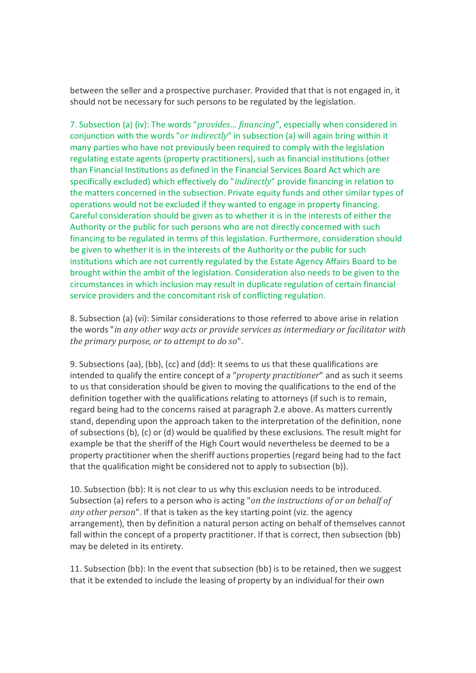between the seller and a prospective purchaser. Provided that that is not engaged in, it should not be necessary for such persons to be regulated by the legislation.

7. Subsection (a) (iv): The words "*provides… financing*", especially when considered in conjunction with the words "*or indirectly*" in subsection (a) will again bring within it many parties who have not previously been required to comply with the legislation regulating estate agents (property practitioners), such as financial institutions (other than Financial Institutions as defined in the Financial Services Board Act which are specifically excluded) which effectively do "*indirectly*" provide financing in relation to the matters concerned in the subsection. Private equity funds and other similar types of operations would not be excluded if they wanted to engage in property financing. Careful consideration should be given as to whether it is in the interests of either the Authority or the public for such persons who are not directly concerned with such financing to be regulated in terms of this legislation. Furthermore, consideration should be given to whether it is in the interests of the Authority or the public for such institutions which are not currently regulated by the Estate Agency Affairs Board to be brought within the ambit of the legislation. Consideration also needs to be given to the circumstances in which inclusion may result in duplicate regulation of certain financial service providers and the concomitant risk of conflicting regulation.

8. Subsection (a) (vi): Similar considerations to those referred to above arise in relation the words "*in any other way acts or provide services as intermediary or facilitator with the primary purpose, or to attempt to do so*".

9. Subsections (aa), (bb), (cc) and (dd): It seems to us that these qualifications are intended to qualify the entire concept of a "*property practitioner*" and as such it seems to us that consideration should be given to moving the qualifications to the end of the definition together with the qualifications relating to attorneys (if such is to remain, regard being had to the concerns raised at paragraph 2.e above. As matters currently stand, depending upon the approach taken to the interpretation of the definition, none of subsections (b), (c) or (d) would be qualified by these exclusions. The result might for example be that the sheriff of the High Court would nevertheless be deemed to be a property practitioner when the sheriff auctions properties (regard being had to the fact that the qualification might be considered not to apply to subsection (b)).

10. Subsection (bb): It is not clear to us why this exclusion needs to be introduced. Subsection (a) refers to a person who is acting "*on the instructions of or on behalf of any other person*". If that is taken as the key starting point (viz. the agency arrangement), then by definition a natural person acting on behalf of themselves cannot fall within the concept of a property practitioner. If that is correct, then subsection (bb) may be deleted in its entirety.

11. Subsection (bb): In the event that subsection (bb) is to be retained, then we suggest that it be extended to include the leasing of property by an individual for their own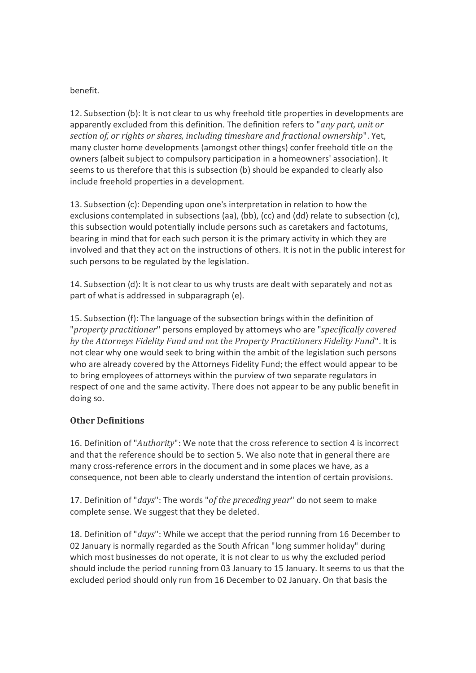### benefit.

12. Subsection (b): It is not clear to us why freehold title properties in developments are apparently excluded from this definition. The definition refers to "*any part, unit or section of, or rights or shares, including timeshare and fractional ownership*". Yet, many cluster home developments (amongst other things) confer freehold title on the owners (albeit subject to compulsory participation in a homeowners' association). It seems to us therefore that this is subsection (b) should be expanded to clearly also include freehold properties in a development.

13. Subsection (c): Depending upon one's interpretation in relation to how the exclusions contemplated in subsections (aa), (bb), (cc) and (dd) relate to subsection (c), this subsection would potentially include persons such as caretakers and factotums, bearing in mind that for each such person it is the primary activity in which they are involved and that they act on the instructions of others. It is not in the public interest for such persons to be regulated by the legislation.

14. Subsection (d): It is not clear to us why trusts are dealt with separately and not as part of what is addressed in subparagraph (e).

15. Subsection (f): The language of the subsection brings within the definition of "*property practitioner*" persons employed by attorneys who are "*specifically covered by the Attorneys Fidelity Fund and not the Property Practitioners Fidelity Fund*". It is not clear why one would seek to bring within the ambit of the legislation such persons who are already covered by the Attorneys Fidelity Fund; the effect would appear to be to bring employees of attorneys within the purview of two separate regulators in respect of one and the same activity. There does not appear to be any public benefit in doing so.

# **Other Definitions**

16. Definition of "*Authority*": We note that the cross reference to section 4 is incorrect and that the reference should be to section 5. We also note that in general there are many cross-reference errors in the document and in some places we have, as a consequence, not been able to clearly understand the intention of certain provisions.

17. Definition of "*days*": The words "*of the preceding year*" do not seem to make complete sense. We suggest that they be deleted.

18. Definition of "*days*": While we accept that the period running from 16 December to 02 January is normally regarded as the South African "long summer holiday" during which most businesses do not operate, it is not clear to us why the excluded period should include the period running from 03 January to 15 January. It seems to us that the excluded period should only run from 16 December to 02 January. On that basis the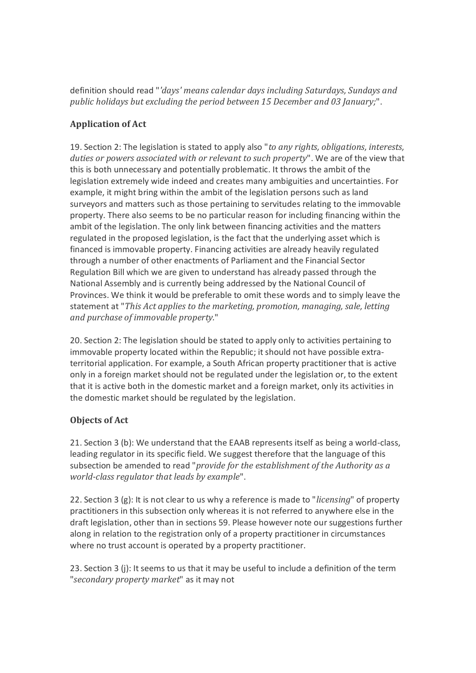definition should read "*'days' means calendar days including Saturdays, Sundays and public holidays but excluding the period between 15 December and 03 January;*".

# **Application of Act**

19. Section 2: The legislation is stated to apply also "*to any rights, obligations, interests, duties or powers associated with or relevant to such property*". We are of the view that this is both unnecessary and potentially problematic. It throws the ambit of the legislation extremely wide indeed and creates many ambiguities and uncertainties. For example, it might bring within the ambit of the legislation persons such as land surveyors and matters such as those pertaining to servitudes relating to the immovable property. There also seems to be no particular reason for including financing within the ambit of the legislation. The only link between financing activities and the matters regulated in the proposed legislation, is the fact that the underlying asset which is financed is immovable property. Financing activities are already heavily regulated through a number of other enactments of Parliament and the Financial Sector Regulation Bill which we are given to understand has already passed through the National Assembly and is currently being addressed by the National Council of Provinces. We think it would be preferable to omit these words and to simply leave the statement at "*This Act applies to the marketing, promotion, managing, sale, letting and purchase of immovable property.*"

20. Section 2: The legislation should be stated to apply only to activities pertaining to immovable property located within the Republic; it should not have possible extraterritorial application. For example, a South African property practitioner that is active only in a foreign market should not be regulated under the legislation or, to the extent that it is active both in the domestic market and a foreign market, only its activities in the domestic market should be regulated by the legislation.

# **Objects of Act**

21. Section 3 (b): We understand that the EAAB represents itself as being a world-class, leading regulator in its specific field. We suggest therefore that the language of this subsection be amended to read "*provide for the establishment of the Authority as a world-class regulator that leads by example*".

22. Section 3 (g): It is not clear to us why a reference is made to "*licensing*" of property practitioners in this subsection only whereas it is not referred to anywhere else in the draft legislation, other than in sections 59. Please however note our suggestions further along in relation to the registration only of a property practitioner in circumstances where no trust account is operated by a property practitioner.

23. Section 3 (j): It seems to us that it may be useful to include a definition of the term "*secondary property market*" as it may not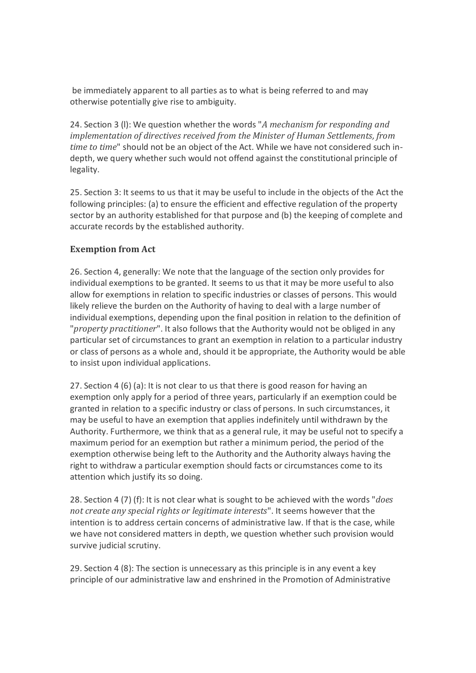be immediately apparent to all parties as to what is being referred to and may otherwise potentially give rise to ambiguity.

24. Section 3 (l): We question whether the words "*A mechanism for responding and implementation of directives received from the Minister of Human Settlements, from time to time*" should not be an object of the Act. While we have not considered such indepth, we query whether such would not offend against the constitutional principle of legality.

25. Section 3: It seems to us that it may be useful to include in the objects of the Act the following principles: (a) to ensure the efficient and effective regulation of the property sector by an authority established for that purpose and (b) the keeping of complete and accurate records by the established authority.

### **Exemption from Act**

26. Section 4, generally: We note that the language of the section only provides for individual exemptions to be granted. It seems to us that it may be more useful to also allow for exemptions in relation to specific industries or classes of persons. This would likely relieve the burden on the Authority of having to deal with a large number of individual exemptions, depending upon the final position in relation to the definition of "*property practitioner*". It also follows that the Authority would not be obliged in any particular set of circumstances to grant an exemption in relation to a particular industry or class of persons as a whole and, should it be appropriate, the Authority would be able to insist upon individual applications.

27. Section 4 (6) (a): It is not clear to us that there is good reason for having an exemption only apply for a period of three years, particularly if an exemption could be granted in relation to a specific industry or class of persons. In such circumstances, it may be useful to have an exemption that applies indefinitely until withdrawn by the Authority. Furthermore, we think that as a general rule, it may be useful not to specify a maximum period for an exemption but rather a minimum period, the period of the exemption otherwise being left to the Authority and the Authority always having the right to withdraw a particular exemption should facts or circumstances come to its attention which justify its so doing.

28. Section 4 (7) (f): It is not clear what is sought to be achieved with the words "*does not create any special rights or legitimate interests*". It seems however that the intention is to address certain concerns of administrative law. If that is the case, while we have not considered matters in depth, we question whether such provision would survive judicial scrutiny.

29. Section 4 (8): The section is unnecessary as this principle is in any event a key principle of our administrative law and enshrined in the Promotion of Administrative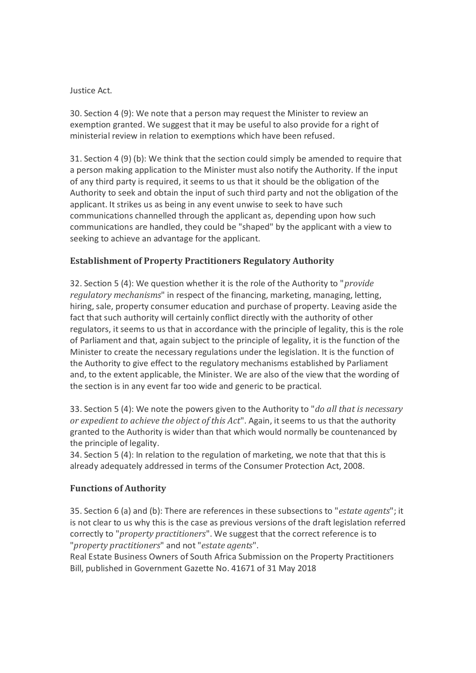### Justice Act.

30. Section 4 (9): We note that a person may request the Minister to review an exemption granted. We suggest that it may be useful to also provide for a right of ministerial review in relation to exemptions which have been refused.

31. Section 4 (9) (b): We think that the section could simply be amended to require that a person making application to the Minister must also notify the Authority. If the input of any third party is required, it seems to us that it should be the obligation of the Authority to seek and obtain the input of such third party and not the obligation of the applicant. It strikes us as being in any event unwise to seek to have such communications channelled through the applicant as, depending upon how such communications are handled, they could be "shaped" by the applicant with a view to seeking to achieve an advantage for the applicant.

# **Establishment of Property Practitioners Regulatory Authority**

32. Section 5 (4): We question whether it is the role of the Authority to "*provide regulatory mechanisms*" in respect of the financing, marketing, managing, letting, hiring, sale, property consumer education and purchase of property. Leaving aside the fact that such authority will certainly conflict directly with the authority of other regulators, it seems to us that in accordance with the principle of legality, this is the role of Parliament and that, again subject to the principle of legality, it is the function of the Minister to create the necessary regulations under the legislation. It is the function of the Authority to give effect to the regulatory mechanisms established by Parliament and, to the extent applicable, the Minister. We are also of the view that the wording of the section is in any event far too wide and generic to be practical.

33. Section 5 (4): We note the powers given to the Authority to "*do all that is necessary or expedient to achieve the object of this Act*". Again, it seems to us that the authority granted to the Authority is wider than that which would normally be countenanced by the principle of legality.

34. Section 5 (4): In relation to the regulation of marketing, we note that that this is already adequately addressed in terms of the Consumer Protection Act, 2008.

# **Functions of Authority**

35. Section 6 (a) and (b): There are references in these subsections to "*estate agents*"; it is not clear to us why this is the case as previous versions of the draft legislation referred correctly to "*property practitioners*". We suggest that the correct reference is to "*property practitioners*" and not "*estate agents*".

Real Estate Business Owners of South Africa Submission on the Property Practitioners Bill, published in Government Gazette No. 41671 of 31 May 2018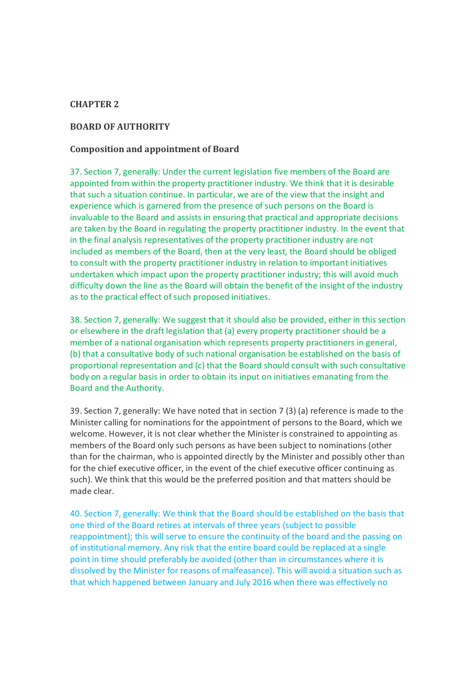### **CHAPTER 2**

### **BOARD OF AUTHORITY**

#### **Composition and appointment of Board**

37. Section 7, generally: Under the current legislation five members of the Board are appointed from within the property practitioner industry. We think that it is desirable that such a situation continue. In particular, we are of the view that the insight and experience which is garnered from the presence of such persons on the Board is invaluable to the Board and assists in ensuring that practical and appropriate decisions are taken by the Board in regulating the property practitioner industry. In the event that in the final analysis representatives of the property practitioner industry are not included as members of the Board, then at the very least, the Board should be obliged to consult with the property practitioner industry in relation to important initiatives undertaken which impact upon the property practitioner industry; this will avoid much difficulty down the line as the Board will obtain the benefit of the insight of the industry as to the practical effect of such proposed initiatives.

38. Section 7, generally: We suggest that it should also be provided, either in this section or elsewhere in the draft legislation that (a) every property practitioner should be a member of a national organisation which represents property practitioners in general, (b) that a consultative body of such national organisation be established on the basis of proportional representation and (c) that the Board should consult with such consultative body on a regular basis in order to obtain its input on initiatives emanating from the Board and the Authority.

39. Section 7, generally: We have noted that in section 7 (3) (a) reference is made to the Minister calling for nominations for the appointment of persons to the Board, which we welcome. However, it is not clear whether the Minister is constrained to appointing as members of the Board only such persons as have been subject to nominations (other than for the chairman, who is appointed directly by the Minister and possibly other than for the chief executive officer, in the event of the chief executive officer continuing as such). We think that this would be the preferred position and that matters should be made clear.

40. Section 7, generally: We think that the Board should be established on the basis that one third of the Board retires at intervals of three years (subject to possible reappointment); this will serve to ensure the continuity of the board and the passing on of institutional memory. Any risk that the entire board could be replaced at a single point in time should preferably be avoided (other than in circumstances where it is dissolved by the Minister for reasons of malfeasance). This will avoid a situation such as that which happened between January and July 2016 when there was effectively no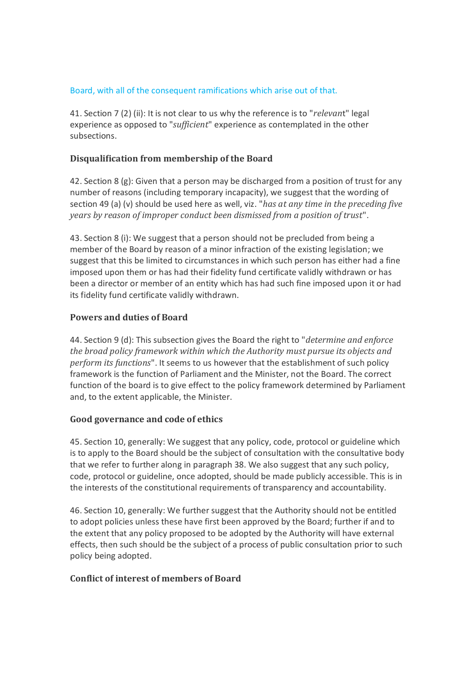### Board, with all of the consequent ramifications which arise out of that.

41. Section 7 (2) (ii): It is not clear to us why the reference is to "*relevan*t" legal experience as opposed to "*sufficient*" experience as contemplated in the other subsections.

# **Disqualification from membership of the Board**

42. Section 8 (g): Given that a person may be discharged from a position of trust for any number of reasons (including temporary incapacity), we suggest that the wording of section 49 (a) (v) should be used here as well, viz. "*has at any time in the preceding five years by reason of improper conduct been dismissed from a position of trust*".

43. Section 8 (i): We suggest that a person should not be precluded from being a member of the Board by reason of a minor infraction of the existing legislation; we suggest that this be limited to circumstances in which such person has either had a fine imposed upon them or has had their fidelity fund certificate validly withdrawn or has been a director or member of an entity which has had such fine imposed upon it or had its fidelity fund certificate validly withdrawn.

### **Powers and duties of Board**

44. Section 9 (d): This subsection gives the Board the right to "*determine and enforce the broad policy framework within which the Authority must pursue its objects and perform its functions*". It seems to us however that the establishment of such policy framework is the function of Parliament and the Minister, not the Board. The correct function of the board is to give effect to the policy framework determined by Parliament and, to the extent applicable, the Minister.

### **Good governance and code of ethics**

45. Section 10, generally: We suggest that any policy, code, protocol or guideline which is to apply to the Board should be the subject of consultation with the consultative body that we refer to further along in paragraph 38. We also suggest that any such policy, code, protocol or guideline, once adopted, should be made publicly accessible. This is in the interests of the constitutional requirements of transparency and accountability.

46. Section 10, generally: We further suggest that the Authority should not be entitled to adopt policies unless these have first been approved by the Board; further if and to the extent that any policy proposed to be adopted by the Authority will have external effects, then such should be the subject of a process of public consultation prior to such policy being adopted.

### **Conflict of interest of members of Board**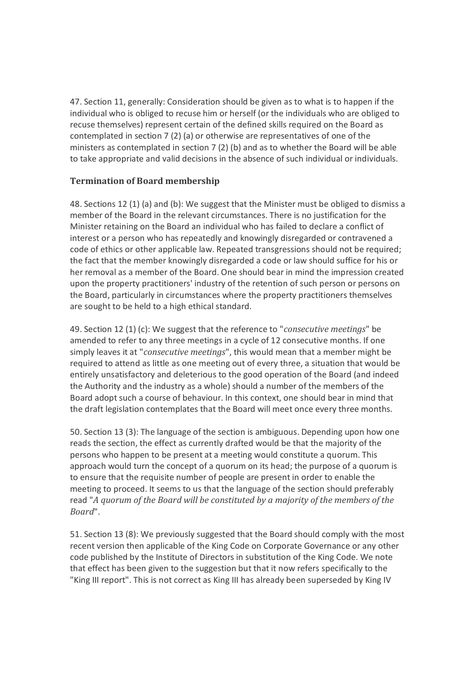47. Section 11, generally: Consideration should be given as to what is to happen if the individual who is obliged to recuse him or herself (or the individuals who are obliged to recuse themselves) represent certain of the defined skills required on the Board as contemplated in section 7 (2) (a) or otherwise are representatives of one of the ministers as contemplated in section 7 (2) (b) and as to whether the Board will be able to take appropriate and valid decisions in the absence of such individual or individuals.

# **Termination of Board membership**

48. Sections 12 (1) (a) and (b): We suggest that the Minister must be obliged to dismiss a member of the Board in the relevant circumstances. There is no justification for the Minister retaining on the Board an individual who has failed to declare a conflict of interest or a person who has repeatedly and knowingly disregarded or contravened a code of ethics or other applicable law. Repeated transgressions should not be required; the fact that the member knowingly disregarded a code or law should suffice for his or her removal as a member of the Board. One should bear in mind the impression created upon the property practitioners' industry of the retention of such person or persons on the Board, particularly in circumstances where the property practitioners themselves are sought to be held to a high ethical standard.

49. Section 12 (1) (c): We suggest that the reference to "*consecutive meetings*" be amended to refer to any three meetings in a cycle of 12 consecutive months. If one simply leaves it at "*consecutive meetings*", this would mean that a member might be required to attend as little as one meeting out of every three, a situation that would be entirely unsatisfactory and deleterious to the good operation of the Board (and indeed the Authority and the industry as a whole) should a number of the members of the Board adopt such a course of behaviour. In this context, one should bear in mind that the draft legislation contemplates that the Board will meet once every three months.

50. Section 13 (3): The language of the section is ambiguous. Depending upon how one reads the section, the effect as currently drafted would be that the majority of the persons who happen to be present at a meeting would constitute a quorum. This approach would turn the concept of a quorum on its head; the purpose of a quorum is to ensure that the requisite number of people are present in order to enable the meeting to proceed. It seems to us that the language of the section should preferably read "*A quorum of the Board will be constituted by a majority of the members of the Board*".

51. Section 13 (8): We previously suggested that the Board should comply with the most recent version then applicable of the King Code on Corporate Governance or any other code published by the Institute of Directors in substitution of the King Code. We note that effect has been given to the suggestion but that it now refers specifically to the "King III report". This is not correct as King III has already been superseded by King IV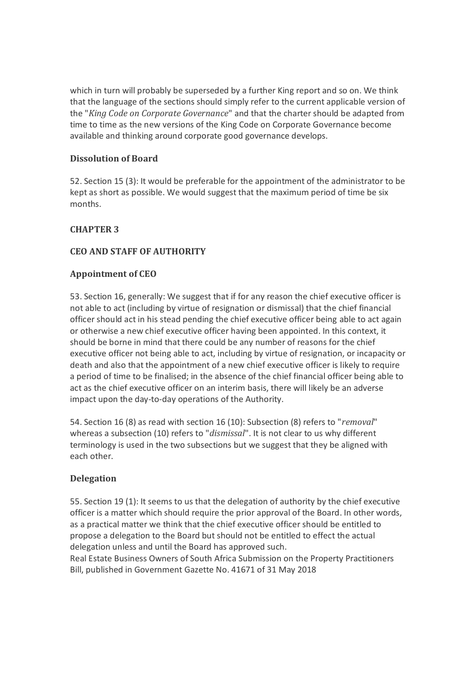which in turn will probably be superseded by a further King report and so on. We think that the language of the sections should simply refer to the current applicable version of the "*King Code on Corporate Governance*" and that the charter should be adapted from time to time as the new versions of the King Code on Corporate Governance become available and thinking around corporate good governance develops.

# **Dissolution of Board**

52. Section 15 (3): It would be preferable for the appointment of the administrator to be kept as short as possible. We would suggest that the maximum period of time be six months.

# **CHAPTER 3**

# **CEO AND STAFF OF AUTHORITY**

# **Appointment of CEO**

53. Section 16, generally: We suggest that if for any reason the chief executive officer is not able to act (including by virtue of resignation or dismissal) that the chief financial officer should act in his stead pending the chief executive officer being able to act again or otherwise a new chief executive officer having been appointed. In this context, it should be borne in mind that there could be any number of reasons for the chief executive officer not being able to act, including by virtue of resignation, or incapacity or death and also that the appointment of a new chief executive officer is likely to require a period of time to be finalised; in the absence of the chief financial officer being able to act as the chief executive officer on an interim basis, there will likely be an adverse impact upon the day-to-day operations of the Authority.

54. Section 16 (8) as read with section 16 (10): Subsection (8) refers to "*removal*" whereas a subsection (10) refers to "*dismissal*". It is not clear to us why different terminology is used in the two subsections but we suggest that they be aligned with each other.

# **Delegation**

55. Section 19 (1): It seems to us that the delegation of authority by the chief executive officer is a matter which should require the prior approval of the Board. In other words, as a practical matter we think that the chief executive officer should be entitled to propose a delegation to the Board but should not be entitled to effect the actual delegation unless and until the Board has approved such.

Real Estate Business Owners of South Africa Submission on the Property Practitioners Bill, published in Government Gazette No. 41671 of 31 May 2018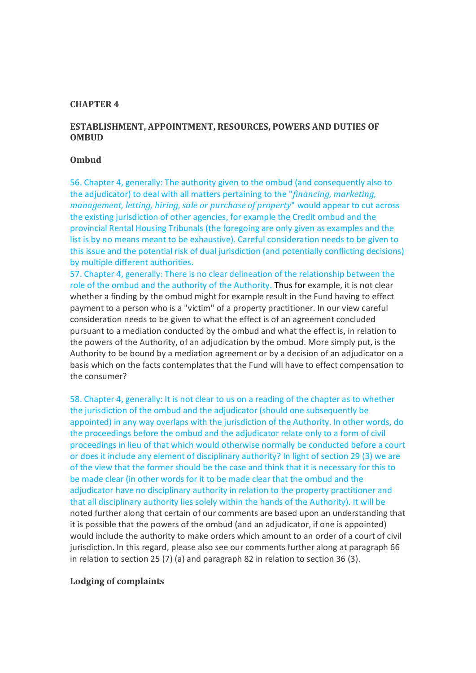### **CHAPTER 4**

### **ESTABLISHMENT, APPOINTMENT, RESOURCES, POWERS AND DUTIES OF OMBUD**

#### **Ombud**

56. Chapter 4, generally: The authority given to the ombud (and consequently also to the adjudicator) to deal with all matters pertaining to the "*financing, marketing, management, letting, hiring, sale or purchase of property*" would appear to cut across the existing jurisdiction of other agencies, for example the Credit ombud and the provincial Rental Housing Tribunals (the foregoing are only given as examples and the list is by no means meant to be exhaustive). Careful consideration needs to be given to this issue and the potential risk of dual jurisdiction (and potentially conflicting decisions) by multiple different authorities.

57. Chapter 4, generally: There is no clear delineation of the relationship between the role of the ombud and the authority of the Authority. Thus for example, it is not clear whether a finding by the ombud might for example result in the Fund having to effect payment to a person who is a "victim" of a property practitioner. In our view careful consideration needs to be given to what the effect is of an agreement concluded pursuant to a mediation conducted by the ombud and what the effect is, in relation to the powers of the Authority, of an adjudication by the ombud. More simply put, is the Authority to be bound by a mediation agreement or by a decision of an adjudicator on a basis which on the facts contemplates that the Fund will have to effect compensation to the consumer?

58. Chapter 4, generally: It is not clear to us on a reading of the chapter as to whether the jurisdiction of the ombud and the adjudicator (should one subsequently be appointed) in any way overlaps with the jurisdiction of the Authority. In other words, do the proceedings before the ombud and the adjudicator relate only to a form of civil proceedings in lieu of that which would otherwise normally be conducted before a court or does it include any element of disciplinary authority? In light of section 29 (3) we are of the view that the former should be the case and think that it is necessary for this to be made clear (in other words for it to be made clear that the ombud and the adjudicator have no disciplinary authority in relation to the property practitioner and that all disciplinary authority lies solely within the hands of the Authority). It will be noted further along that certain of our comments are based upon an understanding that it is possible that the powers of the ombud (and an adjudicator, if one is appointed) would include the authority to make orders which amount to an order of a court of civil jurisdiction. In this regard, please also see our comments further along at paragraph 66 in relation to section 25 (7) (a) and paragraph 82 in relation to section 36 (3).

#### **Lodging of complaints**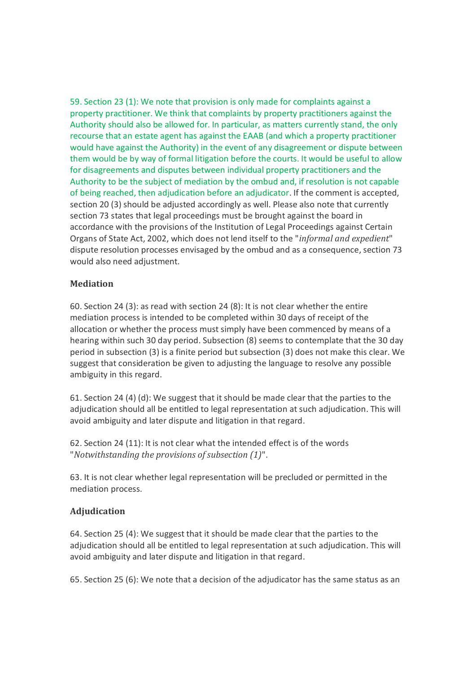59. Section 23 (1): We note that provision is only made for complaints against a property practitioner. We think that complaints by property practitioners against the Authority should also be allowed for. In particular, as matters currently stand, the only recourse that an estate agent has against the EAAB (and which a property practitioner would have against the Authority) in the event of any disagreement or dispute between them would be by way of formal litigation before the courts. It would be useful to allow for disagreements and disputes between individual property practitioners and the Authority to be the subject of mediation by the ombud and, if resolution is not capable of being reached, then adjudication before an adjudicator. If the comment is accepted, section 20 (3) should be adjusted accordingly as well. Please also note that currently section 73 states that legal proceedings must be brought against the board in accordance with the provisions of the Institution of Legal Proceedings against Certain Organs of State Act, 2002, which does not lend itself to the "*informal and expedient*" dispute resolution processes envisaged by the ombud and as a consequence, section 73 would also need adjustment.

### **Mediation**

60. Section 24 (3): as read with section 24 (8): It is not clear whether the entire mediation process is intended to be completed within 30 days of receipt of the allocation or whether the process must simply have been commenced by means of a hearing within such 30 day period. Subsection (8) seems to contemplate that the 30 day period in subsection (3) is a finite period but subsection (3) does not make this clear. We suggest that consideration be given to adjusting the language to resolve any possible ambiguity in this regard.

61. Section 24 (4) (d): We suggest that it should be made clear that the parties to the adjudication should all be entitled to legal representation at such adjudication. This will avoid ambiguity and later dispute and litigation in that regard.

62. Section 24 (11): It is not clear what the intended effect is of the words "*Notwithstanding the provisions of subsection (1)*".

63. It is not clear whether legal representation will be precluded or permitted in the mediation process.

### **Adjudication**

64. Section 25 (4): We suggest that it should be made clear that the parties to the adjudication should all be entitled to legal representation at such adjudication. This will avoid ambiguity and later dispute and litigation in that regard.

65. Section 25 (6): We note that a decision of the adjudicator has the same status as an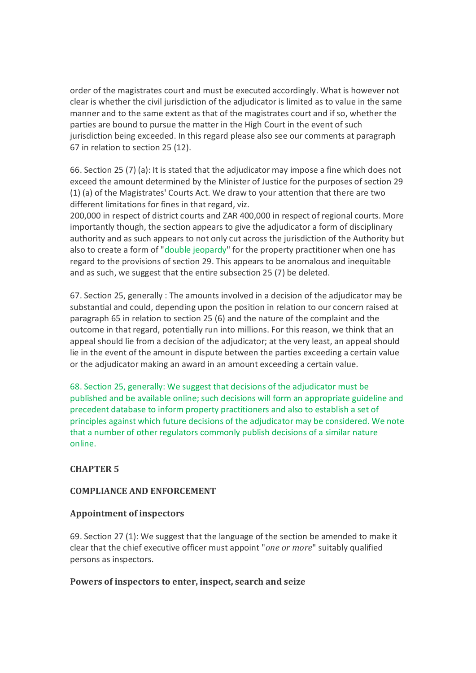order of the magistrates court and must be executed accordingly. What is however not clear is whether the civil jurisdiction of the adjudicator is limited as to value in the same manner and to the same extent as that of the magistrates court and if so, whether the parties are bound to pursue the matter in the High Court in the event of such jurisdiction being exceeded. In this regard please also see our comments at paragraph 67 in relation to section 25 (12).

66. Section 25 (7) (a): It is stated that the adjudicator may impose a fine which does not exceed the amount determined by the Minister of Justice for the purposes of section 29 (1) (a) of the Magistrates' Courts Act. We draw to your attention that there are two different limitations for fines in that regard, viz.

200,000 in respect of district courts and ZAR 400,000 in respect of regional courts. More importantly though, the section appears to give the adjudicator a form of disciplinary authority and as such appears to not only cut across the jurisdiction of the Authority but also to create a form of "double jeopardy" for the property practitioner when one has regard to the provisions of section 29. This appears to be anomalous and inequitable and as such, we suggest that the entire subsection 25 (7) be deleted.

67. Section 25, generally : The amounts involved in a decision of the adjudicator may be substantial and could, depending upon the position in relation to our concern raised at paragraph 65 in relation to section 25 (6) and the nature of the complaint and the outcome in that regard, potentially run into millions. For this reason, we think that an appeal should lie from a decision of the adjudicator; at the very least, an appeal should lie in the event of the amount in dispute between the parties exceeding a certain value or the adjudicator making an award in an amount exceeding a certain value.

68. Section 25, generally: We suggest that decisions of the adjudicator must be published and be available online; such decisions will form an appropriate guideline and precedent database to inform property practitioners and also to establish a set of principles against which future decisions of the adjudicator may be considered. We note that a number of other regulators commonly publish decisions of a similar nature online.

# **CHAPTER 5**

### **COMPLIANCE AND ENFORCEMENT**

### **Appointment of inspectors**

69. Section 27 (1): We suggest that the language of the section be amended to make it clear that the chief executive officer must appoint "*one or more*" suitably qualified persons as inspectors.

### **Powers of inspectors to enter, inspect, search and seize**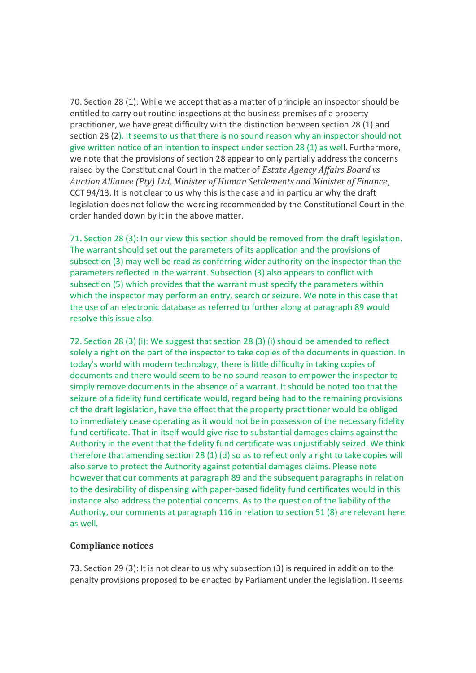70. Section 28 (1): While we accept that as a matter of principle an inspector should be entitled to carry out routine inspections at the business premises of a property practitioner, we have great difficulty with the distinction between section 28 (1) and section 28 (2). It seems to us that there is no sound reason why an inspector should not give written notice of an intention to inspect under section 28 (1) as well. Furthermore, we note that the provisions of section 28 appear to only partially address the concerns raised by the Constitutional Court in the matter of *Estate Agency Affairs Board vs Auction Alliance (Pty) Ltd, Minister of Human Settlements and Minister of Finance*, CCT 94/13. It is not clear to us why this is the case and in particular why the draft legislation does not follow the wording recommended by the Constitutional Court in the order handed down by it in the above matter.

71. Section 28 (3): In our view this section should be removed from the draft legislation. The warrant should set out the parameters of its application and the provisions of subsection (3) may well be read as conferring wider authority on the inspector than the parameters reflected in the warrant. Subsection (3) also appears to conflict with subsection (5) which provides that the warrant must specify the parameters within which the inspector may perform an entry, search or seizure. We note in this case that the use of an electronic database as referred to further along at paragraph 89 would resolve this issue also.

72. Section 28 (3) (i): We suggest that section 28 (3) (i) should be amended to reflect solely a right on the part of the inspector to take copies of the documents in question. In today's world with modern technology, there is little difficulty in taking copies of documents and there would seem to be no sound reason to empower the inspector to simply remove documents in the absence of a warrant. It should be noted too that the seizure of a fidelity fund certificate would, regard being had to the remaining provisions of the draft legislation, have the effect that the property practitioner would be obliged to immediately cease operating as it would not be in possession of the necessary fidelity fund certificate. That in itself would give rise to substantial damages claims against the Authority in the event that the fidelity fund certificate was unjustifiably seized. We think therefore that amending section 28 (1) (d) so as to reflect only a right to take copies will also serve to protect the Authority against potential damages claims. Please note however that our comments at paragraph 89 and the subsequent paragraphs in relation to the desirability of dispensing with paper-based fidelity fund certificates would in this instance also address the potential concerns. As to the question of the liability of the Authority, our comments at paragraph 116 in relation to section 51 (8) are relevant here as well.

### **Compliance notices**

73. Section 29 (3): It is not clear to us why subsection (3) is required in addition to the penalty provisions proposed to be enacted by Parliament under the legislation. It seems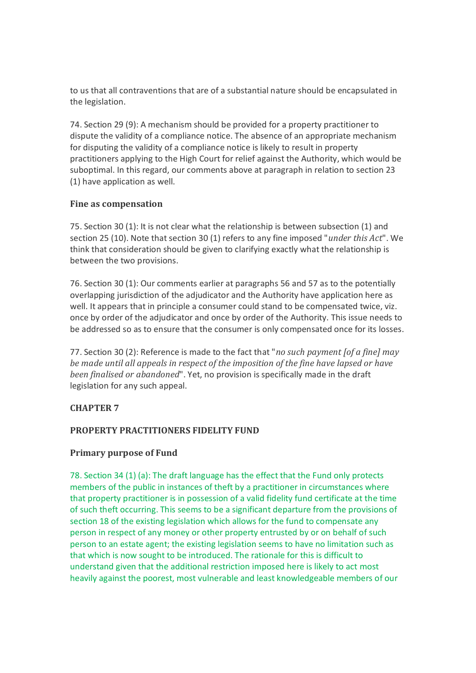to us that all contraventions that are of a substantial nature should be encapsulated in the legislation.

74. Section 29 (9): A mechanism should be provided for a property practitioner to dispute the validity of a compliance notice. The absence of an appropriate mechanism for disputing the validity of a compliance notice is likely to result in property practitioners applying to the High Court for relief against the Authority, which would be suboptimal. In this regard, our comments above at paragraph in relation to section 23 (1) have application as well.

### **Fine as compensation**

75. Section 30 (1): It is not clear what the relationship is between subsection (1) and section 25 (10). Note that section 30 (1) refers to any fine imposed "*under this Act*". We think that consideration should be given to clarifying exactly what the relationship is between the two provisions.

76. Section 30 (1): Our comments earlier at paragraphs 56 and 57 as to the potentially overlapping jurisdiction of the adjudicator and the Authority have application here as well. It appears that in principle a consumer could stand to be compensated twice, viz. once by order of the adjudicator and once by order of the Authority. This issue needs to be addressed so as to ensure that the consumer is only compensated once for its losses.

77. Section 30 (2): Reference is made to the fact that "*no such payment [of a fine] may be made until all appeals in respect of the imposition of the fine have lapsed or have been finalised or abandoned*". Yet, no provision is specifically made in the draft legislation for any such appeal.

# **CHAPTER 7**

# **PROPERTY PRACTITIONERS FIDELITY FUND**

# **Primary purpose of Fund**

78. Section 34 (1) (a): The draft language has the effect that the Fund only protects members of the public in instances of theft by a practitioner in circumstances where that property practitioner is in possession of a valid fidelity fund certificate at the time of such theft occurring. This seems to be a significant departure from the provisions of section 18 of the existing legislation which allows for the fund to compensate any person in respect of any money or other property entrusted by or on behalf of such person to an estate agent; the existing legislation seems to have no limitation such as that which is now sought to be introduced. The rationale for this is difficult to understand given that the additional restriction imposed here is likely to act most heavily against the poorest, most vulnerable and least knowledgeable members of our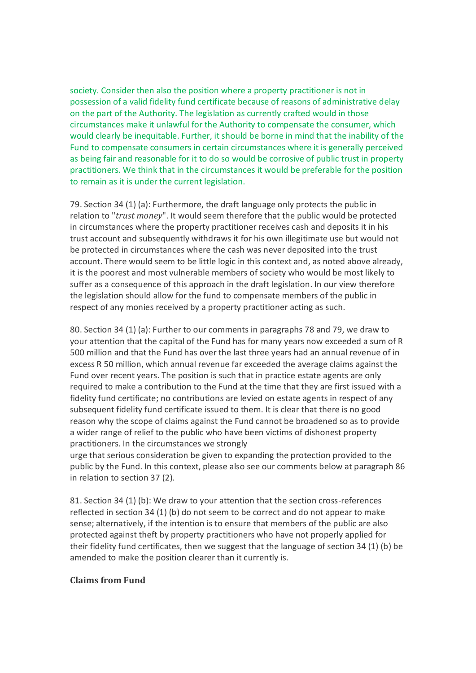society. Consider then also the position where a property practitioner is not in possession of a valid fidelity fund certificate because of reasons of administrative delay on the part of the Authority. The legislation as currently crafted would in those circumstances make it unlawful for the Authority to compensate the consumer, which would clearly be inequitable. Further, it should be borne in mind that the inability of the Fund to compensate consumers in certain circumstances where it is generally perceived as being fair and reasonable for it to do so would be corrosive of public trust in property practitioners. We think that in the circumstances it would be preferable for the position to remain as it is under the current legislation.

79. Section 34 (1) (a): Furthermore, the draft language only protects the public in relation to "*trust money*". It would seem therefore that the public would be protected in circumstances where the property practitioner receives cash and deposits it in his trust account and subsequently withdraws it for his own illegitimate use but would not be protected in circumstances where the cash was never deposited into the trust account. There would seem to be little logic in this context and, as noted above already, it is the poorest and most vulnerable members of society who would be most likely to suffer as a consequence of this approach in the draft legislation. In our view therefore the legislation should allow for the fund to compensate members of the public in respect of any monies received by a property practitioner acting as such.

80. Section 34 (1) (a): Further to our comments in paragraphs 78 and 79, we draw to your attention that the capital of the Fund has for many years now exceeded a sum of R 500 million and that the Fund has over the last three years had an annual revenue of in excess R 50 million, which annual revenue far exceeded the average claims against the Fund over recent years. The position is such that in practice estate agents are only required to make a contribution to the Fund at the time that they are first issued with a fidelity fund certificate; no contributions are levied on estate agents in respect of any subsequent fidelity fund certificate issued to them. It is clear that there is no good reason why the scope of claims against the Fund cannot be broadened so as to provide a wider range of relief to the public who have been victims of dishonest property practitioners. In the circumstances we strongly

urge that serious consideration be given to expanding the protection provided to the public by the Fund. In this context, please also see our comments below at paragraph 86 in relation to section 37 (2).

81. Section 34 (1) (b): We draw to your attention that the section cross-references reflected in section 34 (1) (b) do not seem to be correct and do not appear to make sense; alternatively, if the intention is to ensure that members of the public are also protected against theft by property practitioners who have not properly applied for their fidelity fund certificates, then we suggest that the language of section 34 (1) (b) be amended to make the position clearer than it currently is.

#### **Claims from Fund**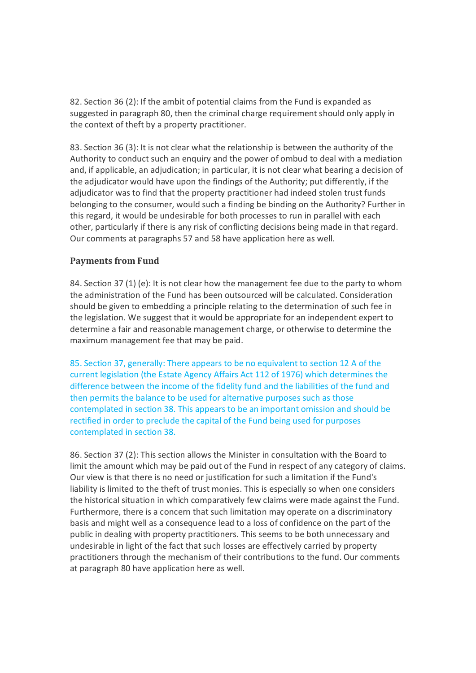82. Section 36 (2): If the ambit of potential claims from the Fund is expanded as suggested in paragraph 80, then the criminal charge requirement should only apply in the context of theft by a property practitioner.

83. Section 36 (3): It is not clear what the relationship is between the authority of the Authority to conduct such an enquiry and the power of ombud to deal with a mediation and, if applicable, an adjudication; in particular, it is not clear what bearing a decision of the adjudicator would have upon the findings of the Authority; put differently, if the adjudicator was to find that the property practitioner had indeed stolen trust funds belonging to the consumer, would such a finding be binding on the Authority? Further in this regard, it would be undesirable for both processes to run in parallel with each other, particularly if there is any risk of conflicting decisions being made in that regard. Our comments at paragraphs 57 and 58 have application here as well.

# **Payments from Fund**

84. Section 37 (1) (e): It is not clear how the management fee due to the party to whom the administration of the Fund has been outsourced will be calculated. Consideration should be given to embedding a principle relating to the determination of such fee in the legislation. We suggest that it would be appropriate for an independent expert to determine a fair and reasonable management charge, or otherwise to determine the maximum management fee that may be paid.

85. Section 37, generally: There appears to be no equivalent to section 12 A of the current legislation (the Estate Agency Affairs Act 112 of 1976) which determines the difference between the income of the fidelity fund and the liabilities of the fund and then permits the balance to be used for alternative purposes such as those contemplated in section 38. This appears to be an important omission and should be rectified in order to preclude the capital of the Fund being used for purposes contemplated in section 38.

86. Section 37 (2): This section allows the Minister in consultation with the Board to limit the amount which may be paid out of the Fund in respect of any category of claims. Our view is that there is no need or justification for such a limitation if the Fund's liability is limited to the theft of trust monies. This is especially so when one considers the historical situation in which comparatively few claims were made against the Fund. Furthermore, there is a concern that such limitation may operate on a discriminatory basis and might well as a consequence lead to a loss of confidence on the part of the public in dealing with property practitioners. This seems to be both unnecessary and undesirable in light of the fact that such losses are effectively carried by property practitioners through the mechanism of their contributions to the fund. Our comments at paragraph 80 have application here as well.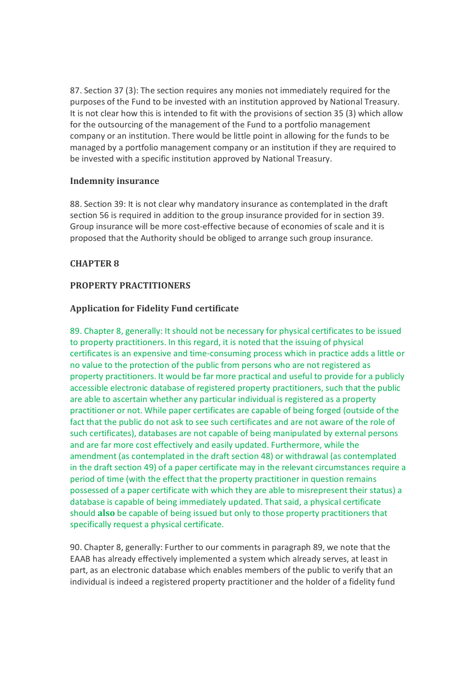87. Section 37 (3): The section requires any monies not immediately required for the purposes of the Fund to be invested with an institution approved by National Treasury. It is not clear how this is intended to fit with the provisions of section 35 (3) which allow for the outsourcing of the management of the Fund to a portfolio management company or an institution. There would be little point in allowing for the funds to be managed by a portfolio management company or an institution if they are required to be invested with a specific institution approved by National Treasury.

### **Indemnity insurance**

88. Section 39: It is not clear why mandatory insurance as contemplated in the draft section 56 is required in addition to the group insurance provided for in section 39. Group insurance will be more cost-effective because of economies of scale and it is proposed that the Authority should be obliged to arrange such group insurance.

# **CHAPTER 8**

### **PROPERTY PRACTITIONERS**

### **Application for Fidelity Fund certificate**

89. Chapter 8, generally: It should not be necessary for physical certificates to be issued to property practitioners. In this regard, it is noted that the issuing of physical certificates is an expensive and time-consuming process which in practice adds a little or no value to the protection of the public from persons who are not registered as property practitioners. It would be far more practical and useful to provide for a publicly accessible electronic database of registered property practitioners, such that the public are able to ascertain whether any particular individual is registered as a property practitioner or not. While paper certificates are capable of being forged (outside of the fact that the public do not ask to see such certificates and are not aware of the role of such certificates), databases are not capable of being manipulated by external persons and are far more cost effectively and easily updated. Furthermore, while the amendment (as contemplated in the draft section 48) or withdrawal (as contemplated in the draft section 49) of a paper certificate may in the relevant circumstances require a period of time (with the effect that the property practitioner in question remains possessed of a paper certificate with which they are able to misrepresent their status) a database is capable of being immediately updated. That said, a physical certificate should **also** be capable of being issued but only to those property practitioners that specifically request a physical certificate.

90. Chapter 8, generally: Further to our comments in paragraph 89, we note that the EAAB has already effectively implemented a system which already serves, at least in part, as an electronic database which enables members of the public to verify that an individual is indeed a registered property practitioner and the holder of a fidelity fund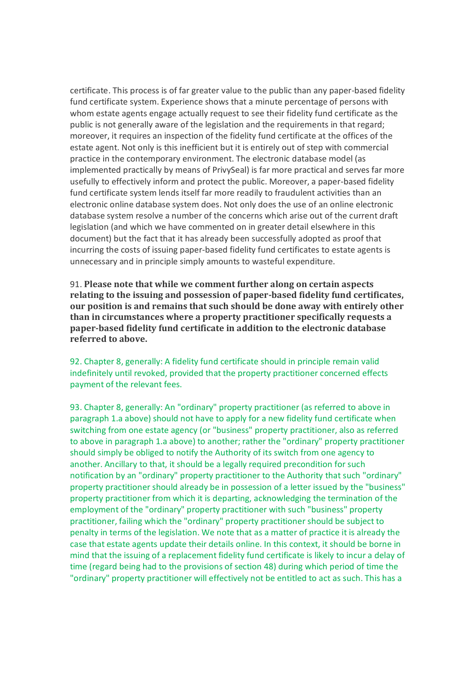certificate. This process is of far greater value to the public than any paper-based fidelity fund certificate system. Experience shows that a minute percentage of persons with whom estate agents engage actually request to see their fidelity fund certificate as the public is not generally aware of the legislation and the requirements in that regard; moreover, it requires an inspection of the fidelity fund certificate at the offices of the estate agent. Not only is this inefficient but it is entirely out of step with commercial practice in the contemporary environment. The electronic database model (as implemented practically by means of PrivySeal) is far more practical and serves far more usefully to effectively inform and protect the public. Moreover, a paper-based fidelity fund certificate system lends itself far more readily to fraudulent activities than an electronic online database system does. Not only does the use of an online electronic database system resolve a number of the concerns which arise out of the current draft legislation (and which we have commented on in greater detail elsewhere in this document) but the fact that it has already been successfully adopted as proof that incurring the costs of issuing paper-based fidelity fund certificates to estate agents is unnecessary and in principle simply amounts to wasteful expenditure.

91. **Please note that while we comment further along on certain aspects relating to the issuing and possession of paper-based fidelity fund certificates, our position is and remains that such should be done away with entirely other than in circumstances where a property practitioner specifically requests a paper-based fidelity fund certificate in addition to the electronic database referred to above.**

92. Chapter 8, generally: A fidelity fund certificate should in principle remain valid indefinitely until revoked, provided that the property practitioner concerned effects payment of the relevant fees.

93. Chapter 8, generally: An "ordinary" property practitioner (as referred to above in paragraph 1.a above) should not have to apply for a new fidelity fund certificate when switching from one estate agency (or "business" property practitioner, also as referred to above in paragraph 1.a above) to another; rather the "ordinary" property practitioner should simply be obliged to notify the Authority of its switch from one agency to another. Ancillary to that, it should be a legally required precondition for such notification by an "ordinary" property practitioner to the Authority that such "ordinary" property practitioner should already be in possession of a letter issued by the "business" property practitioner from which it is departing, acknowledging the termination of the employment of the "ordinary" property practitioner with such "business" property practitioner, failing which the "ordinary" property practitioner should be subject to penalty in terms of the legislation. We note that as a matter of practice it is already the case that estate agents update their details online. In this context, it should be borne in mind that the issuing of a replacement fidelity fund certificate is likely to incur a delay of time (regard being had to the provisions of section 48) during which period of time the "ordinary" property practitioner will effectively not be entitled to act as such. This has a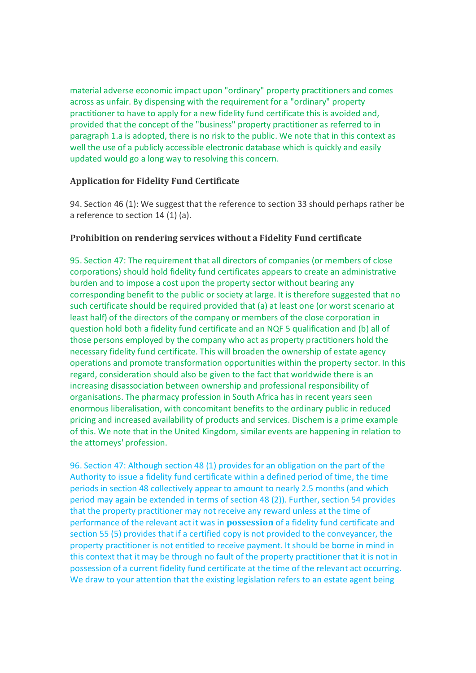material adverse economic impact upon "ordinary" property practitioners and comes across as unfair. By dispensing with the requirement for a "ordinary" property practitioner to have to apply for a new fidelity fund certificate this is avoided and, provided that the concept of the "business" property practitioner as referred to in paragraph 1.a is adopted, there is no risk to the public. We note that in this context as well the use of a publicly accessible electronic database which is quickly and easily updated would go a long way to resolving this concern.

### **Application for Fidelity Fund Certificate**

94. Section 46 (1): We suggest that the reference to section 33 should perhaps rather be a reference to section 14 (1) (a).

### **Prohibition on rendering services without a Fidelity Fund certificate**

95. Section 47: The requirement that all directors of companies (or members of close corporations) should hold fidelity fund certificates appears to create an administrative burden and to impose a cost upon the property sector without bearing any corresponding benefit to the public or society at large. It is therefore suggested that no such certificate should be required provided that (a) at least one (or worst scenario at least half) of the directors of the company or members of the close corporation in question hold both a fidelity fund certificate and an NQF 5 qualification and (b) all of those persons employed by the company who act as property practitioners hold the necessary fidelity fund certificate. This will broaden the ownership of estate agency operations and promote transformation opportunities within the property sector. In this regard, consideration should also be given to the fact that worldwide there is an increasing disassociation between ownership and professional responsibility of organisations. The pharmacy profession in South Africa has in recent years seen enormous liberalisation, with concomitant benefits to the ordinary public in reduced pricing and increased availability of products and services. Dischem is a prime example of this. We note that in the United Kingdom, similar events are happening in relation to the attorneys' profession.

96. Section 47: Although section 48 (1) provides for an obligation on the part of the Authority to issue a fidelity fund certificate within a defined period of time, the time periods in section 48 collectively appear to amount to nearly 2.5 months (and which period may again be extended in terms of section 48 (2)). Further, section 54 provides that the property practitioner may not receive any reward unless at the time of performance of the relevant act it was in **possession** of a fidelity fund certificate and section 55 (5) provides that if a certified copy is not provided to the conveyancer, the property practitioner is not entitled to receive payment. It should be borne in mind in this context that it may be through no fault of the property practitioner that it is not in possession of a current fidelity fund certificate at the time of the relevant act occurring. We draw to your attention that the existing legislation refers to an estate agent being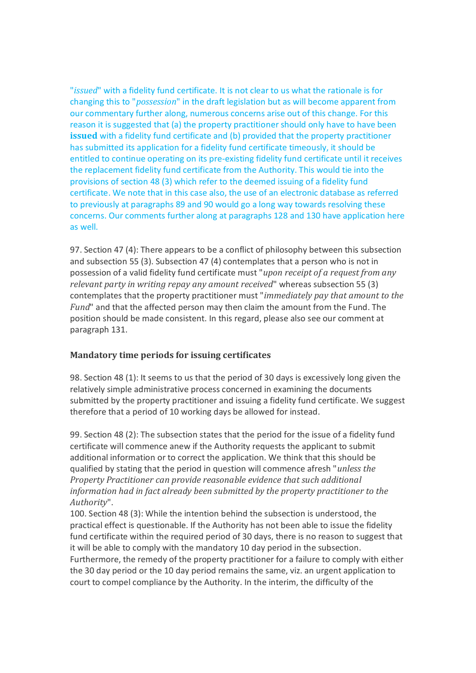"*issued*" with a fidelity fund certificate. It is not clear to us what the rationale is for changing this to "*possession*" in the draft legislation but as will become apparent from our commentary further along, numerous concerns arise out of this change. For this reason it is suggested that (a) the property practitioner should only have to have been **issued** with a fidelity fund certificate and (b) provided that the property practitioner has submitted its application for a fidelity fund certificate timeously, it should be entitled to continue operating on its pre-existing fidelity fund certificate until it receives the replacement fidelity fund certificate from the Authority. This would tie into the provisions of section 48 (3) which refer to the deemed issuing of a fidelity fund certificate. We note that in this case also, the use of an electronic database as referred to previously at paragraphs 89 and 90 would go a long way towards resolving these concerns. Our comments further along at paragraphs 128 and 130 have application here as well.

97. Section 47 (4): There appears to be a conflict of philosophy between this subsection and subsection 55 (3). Subsection 47 (4) contemplates that a person who is not in possession of a valid fidelity fund certificate must "*upon receipt of a request from any relevant party in writing repay any amount received*" whereas subsection 55 (3) contemplates that the property practitioner must "*immediately pay that amount to the Fund*" and that the affected person may then claim the amount from the Fund. The position should be made consistent. In this regard, please also see our comment at paragraph 131.

# **Mandatory time periods for issuing certificates**

98. Section 48 (1): It seems to us that the period of 30 days is excessively long given the relatively simple administrative process concerned in examining the documents submitted by the property practitioner and issuing a fidelity fund certificate. We suggest therefore that a period of 10 working days be allowed for instead.

99. Section 48 (2): The subsection states that the period for the issue of a fidelity fund certificate will commence anew if the Authority requests the applicant to submit additional information or to correct the application. We think that this should be qualified by stating that the period in question will commence afresh "*unless the Property Practitioner can provide reasonable evidence that such additional information had in fact already been submitted by the property practitioner to the Authority*".

100. Section 48 (3): While the intention behind the subsection is understood, the practical effect is questionable. If the Authority has not been able to issue the fidelity fund certificate within the required period of 30 days, there is no reason to suggest that it will be able to comply with the mandatory 10 day period in the subsection. Furthermore, the remedy of the property practitioner for a failure to comply with either the 30 day period or the 10 day period remains the same, viz. an urgent application to court to compel compliance by the Authority. In the interim, the difficulty of the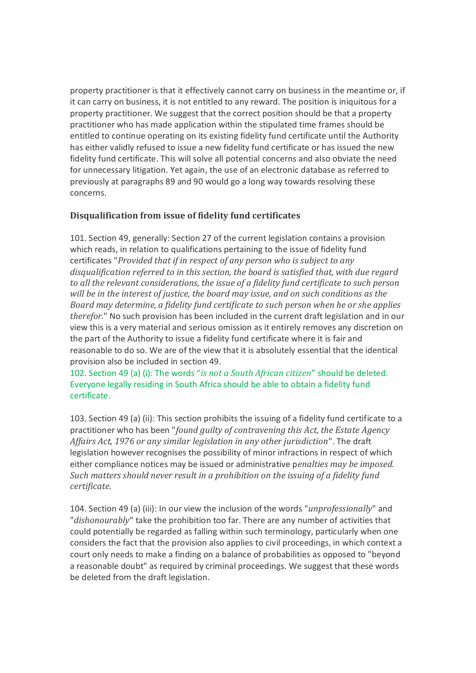property practitioner is that it effectively cannot carry on business in the meantime or, if it can carry on business, it is not entitled to any reward. The position is iniquitous for a property practitioner. We suggest that the correct position should be that a property practitioner who has made application within the stipulated time frames should be entitled to continue operating on its existing fidelity fund certificate until the Authority has either validly refused to issue a new fidelity fund certificate or has issued the new fidelity fund certificate. This will solve all potential concerns and also obviate the need for unnecessary litigation. Yet again, the use of an electronic database as referred to previously at paragraphs 89 and 90 would go a long way towards resolving these concerns.

# **Disqualification from issue of fidelity fund certificates**

101. Section 49, generally: Section 27 of the current legislation contains a provision which reads, in relation to qualifications pertaining to the issue of fidelity fund certificates "*Provided that if in respect of any person who is subject to any disqualification referred to in this section, the board is satisfied that, with due regard to all the relevant considerations, the issue of a fidelity fund certificate to such person will be in the interest of justice, the board may issue, and on such conditions as the Board may determine, a fidelity fund certificate to such person when he or she applies therefor.*" No such provision has been included in the current draft legislation and in our view this is a very material and serious omission as it entirely removes any discretion on the part of the Authority to issue a fidelity fund certificate where it is fair and reasonable to do so. We are of the view that it is absolutely essential that the identical provision also be included in section 49.

102. Section 49 (a) (i): The words "*is not a South African citizen*" should be deleted. Everyone legally residing in South Africa should be able to obtain a fidelity fund certificate.

103. Section 49 (a) (ii): This section prohibits the issuing of a fidelity fund certificate to a practitioner who has been "*found guilty of contravening this Act, the Estate Agency Affairs Act, 1976 or any similar legislation in any other jurisdiction*". The draft legislation however recognises the possibility of minor infractions in respect of which either compliance notices may be issued or administrative p*enalties may be imposed. Such matters should never result in a prohibition on the issuing of a fidelity fund certificate.*

104. Section 49 (a) (iii): In our view the inclusion of the words "*unprofessionally*" and "*dishonourably*" take the prohibition too far. There are any number of activities that could potentially be regarded as falling within such terminology, particularly when one considers the fact that the provision also applies to civil proceedings, in which context a court only needs to make a finding on a balance of probabilities as opposed to "beyond a reasonable doubt" as required by criminal proceedings. We suggest that these words be deleted from the draft legislation.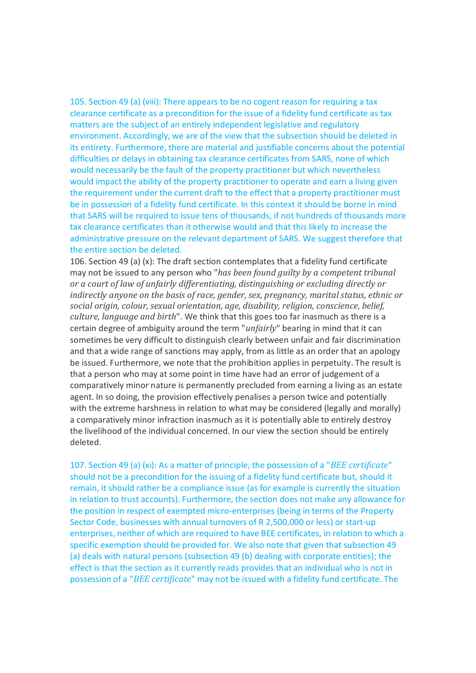105. Section 49 (a) (viii): There appears to be no cogent reason for requiring a tax clearance certificate as a precondition for the issue of a fidelity fund certificate as tax matters are the subject of an entirely independent legislative and regulatory environment. Accordingly, we are of the view that the subsection should be deleted in its entirety. Furthermore, there are material and justifiable concerns about the potential difficulties or delays in obtaining tax clearance certificates from SARS, none of which would necessarily be the fault of the property practitioner but which nevertheless would impact the ability of the property practitioner to operate and earn a living given the requirement under the current draft to the effect that a property practitioner must be in possession of a fidelity fund certificate. In this context it should be borne in mind that SARS will be required to issue tens of thousands, if not hundreds of thousands more tax clearance certificates than it otherwise would and that this likely to increase the administrative pressure on the relevant department of SARS. We suggest therefore that the entire section be deleted.

106. Section 49 (a) (x): The draft section contemplates that a fidelity fund certificate may not be issued to any person who "*has been found guilty by a competent tribunal or a court of law of unfairly differentiating, distinguishing or excluding directly or indirectly anyone on the basis of race, gender, sex, pregnancy, marital status, ethnic or social origin, colour, sexual orientation, age, disability, religion, conscience, belief, culture, language and birth*". We think that this goes too far inasmuch as there is a certain degree of ambiguity around the term "*unfairly*" bearing in mind that it can sometimes be very difficult to distinguish clearly between unfair and fair discrimination and that a wide range of sanctions may apply, from as little as an order that an apology be issued. Furthermore, we note that the prohibition applies in perpetuity. The result is that a person who may at some point in time have had an error of judgement of a comparatively minor nature is permanently precluded from earning a living as an estate agent. In so doing, the provision effectively penalises a person twice and potentially with the extreme harshness in relation to what may be considered (legally and morally) a comparatively minor infraction inasmuch as it is potentially able to entirely destroy the livelihood of the individual concerned. In our view the section should be entirely deleted.

107. Section 49 (a) (xi): As a matter of principle, the possession of a "*BEE certificate*" should not be a precondition for the issuing of a fidelity fund certificate but, should it remain, it should rather be a compliance issue (as for example is currently the situation in relation to trust accounts). Furthermore, the section does not make any allowance for the position in respect of exempted micro-enterprises (being in terms of the Property Sector Code, businesses with annual turnovers of R 2,500,000 or less) or start-up enterprises, neither of which are required to have BEE certificates, in relation to which a specific exemption should be provided for. We also note that given that subsection 49 (a) deals with natural persons (subsection 49 (b) dealing with corporate entities); the effect is that the section as it currently reads provides that an individual who is not in possession of a "*BEE certificate*" may not be issued with a fidelity fund certificate. The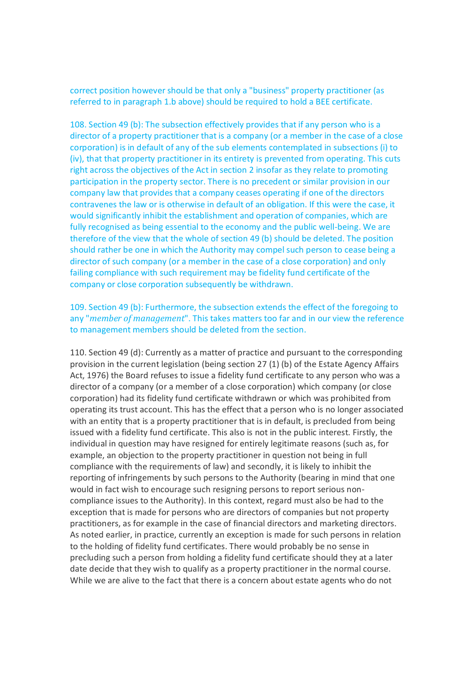correct position however should be that only a "business" property practitioner (as referred to in paragraph 1.b above) should be required to hold a BEE certificate.

108. Section 49 (b): The subsection effectively provides that if any person who is a director of a property practitioner that is a company (or a member in the case of a close corporation) is in default of any of the sub elements contemplated in subsections (i) to (iv), that that property practitioner in its entirety is prevented from operating. This cuts right across the objectives of the Act in section 2 insofar as they relate to promoting participation in the property sector. There is no precedent or similar provision in our company law that provides that a company ceases operating if one of the directors contravenes the law or is otherwise in default of an obligation. If this were the case, it would significantly inhibit the establishment and operation of companies, which are fully recognised as being essential to the economy and the public well-being. We are therefore of the view that the whole of section 49 (b) should be deleted. The position should rather be one in which the Authority may compel such person to cease being a director of such company (or a member in the case of a close corporation) and only failing compliance with such requirement may be fidelity fund certificate of the company or close corporation subsequently be withdrawn.

109. Section 49 (b): Furthermore, the subsection extends the effect of the foregoing to any "*member of management*". This takes matters too far and in our view the reference to management members should be deleted from the section.

110. Section 49 (d): Currently as a matter of practice and pursuant to the corresponding provision in the current legislation (being section 27 (1) (b) of the Estate Agency Affairs Act, 1976) the Board refuses to issue a fidelity fund certificate to any person who was a director of a company (or a member of a close corporation) which company (or close corporation) had its fidelity fund certificate withdrawn or which was prohibited from operating its trust account. This has the effect that a person who is no longer associated with an entity that is a property practitioner that is in default, is precluded from being issued with a fidelity fund certificate. This also is not in the public interest. Firstly, the individual in question may have resigned for entirely legitimate reasons (such as, for example, an objection to the property practitioner in question not being in full compliance with the requirements of law) and secondly, it is likely to inhibit the reporting of infringements by such persons to the Authority (bearing in mind that one would in fact wish to encourage such resigning persons to report serious noncompliance issues to the Authority). In this context, regard must also be had to the exception that is made for persons who are directors of companies but not property practitioners, as for example in the case of financial directors and marketing directors. As noted earlier, in practice, currently an exception is made for such persons in relation to the holding of fidelity fund certificates. There would probably be no sense in precluding such a person from holding a fidelity fund certificate should they at a later date decide that they wish to qualify as a property practitioner in the normal course. While we are alive to the fact that there is a concern about estate agents who do not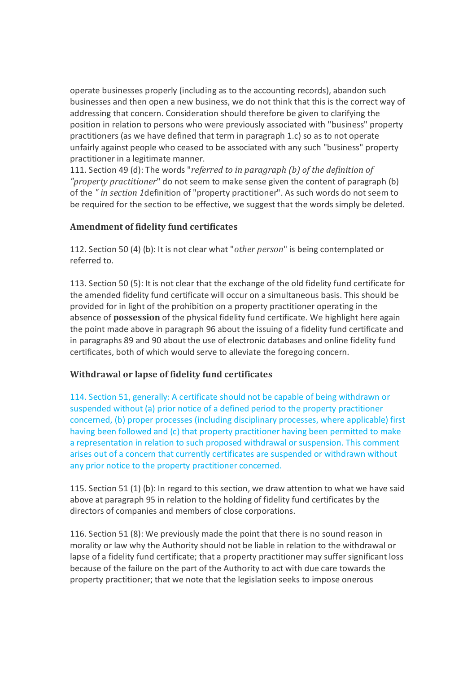operate businesses properly (including as to the accounting records), abandon such businesses and then open a new business, we do not think that this is the correct way of addressing that concern. Consideration should therefore be given to clarifying the position in relation to persons who were previously associated with "business" property practitioners (as we have defined that term in paragraph 1.c) so as to not operate unfairly against people who ceased to be associated with any such "business" property practitioner in a legitimate manner.

111. Section 49 (d): The words "*referred to in paragraph (b) of the definition of "property practitioner*" do not seem to make sense given the content of paragraph (b) of the *" in section 1*definition of "property practitioner". As such words do not seem to be required for the section to be effective, we suggest that the words simply be deleted.

# **Amendment of fidelity fund certificates**

112. Section 50 (4) (b): It is not clear what "*other person*" is being contemplated or referred to.

113. Section 50 (5): It is not clear that the exchange of the old fidelity fund certificate for the amended fidelity fund certificate will occur on a simultaneous basis. This should be provided for in light of the prohibition on a property practitioner operating in the absence of **possession** of the physical fidelity fund certificate. We highlight here again the point made above in paragraph 96 about the issuing of a fidelity fund certificate and in paragraphs 89 and 90 about the use of electronic databases and online fidelity fund certificates, both of which would serve to alleviate the foregoing concern.

# **Withdrawal or lapse of fidelity fund certificates**

114. Section 51, generally: A certificate should not be capable of being withdrawn or suspended without (a) prior notice of a defined period to the property practitioner concerned, (b) proper processes (including disciplinary processes, where applicable) first having been followed and (c) that property practitioner having been permitted to make a representation in relation to such proposed withdrawal or suspension. This comment arises out of a concern that currently certificates are suspended or withdrawn without any prior notice to the property practitioner concerned.

115. Section 51 (1) (b): In regard to this section, we draw attention to what we have said above at paragraph 95 in relation to the holding of fidelity fund certificates by the directors of companies and members of close corporations.

116. Section 51 (8): We previously made the point that there is no sound reason in morality or law why the Authority should not be liable in relation to the withdrawal or lapse of a fidelity fund certificate; that a property practitioner may suffer significant loss because of the failure on the part of the Authority to act with due care towards the property practitioner; that we note that the legislation seeks to impose onerous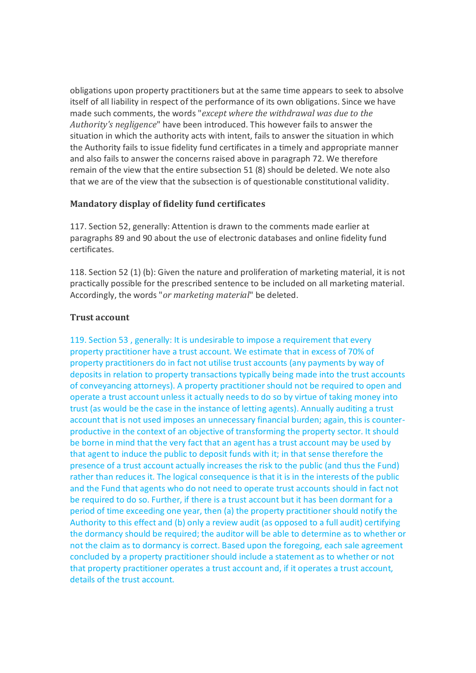obligations upon property practitioners but at the same time appears to seek to absolve itself of all liability in respect of the performance of its own obligations. Since we have made such comments, the words "*except where the withdrawal was due to the Authority's negligence*" have been introduced. This however fails to answer the situation in which the authority acts with intent, fails to answer the situation in which the Authority fails to issue fidelity fund certificates in a timely and appropriate manner and also fails to answer the concerns raised above in paragraph 72. We therefore remain of the view that the entire subsection 51 (8) should be deleted. We note also that we are of the view that the subsection is of questionable constitutional validity.

### **Mandatory display of fidelity fund certificates**

117. Section 52, generally: Attention is drawn to the comments made earlier at paragraphs 89 and 90 about the use of electronic databases and online fidelity fund certificates.

118. Section 52 (1) (b): Given the nature and proliferation of marketing material, it is not practically possible for the prescribed sentence to be included on all marketing material. Accordingly, the words "*or marketing material*" be deleted.

### **Trust account**

119. Section 53 , generally: It is undesirable to impose a requirement that every property practitioner have a trust account. We estimate that in excess of 70% of property practitioners do in fact not utilise trust accounts (any payments by way of deposits in relation to property transactions typically being made into the trust accounts of conveyancing attorneys). A property practitioner should not be required to open and operate a trust account unless it actually needs to do so by virtue of taking money into trust (as would be the case in the instance of letting agents). Annually auditing a trust account that is not used imposes an unnecessary financial burden; again, this is counterproductive in the context of an objective of transforming the property sector. It should be borne in mind that the very fact that an agent has a trust account may be used by that agent to induce the public to deposit funds with it; in that sense therefore the presence of a trust account actually increases the risk to the public (and thus the Fund) rather than reduces it. The logical consequence is that it is in the interests of the public and the Fund that agents who do not need to operate trust accounts should in fact not be required to do so. Further, if there is a trust account but it has been dormant for a period of time exceeding one year, then (a) the property practitioner should notify the Authority to this effect and (b) only a review audit (as opposed to a full audit) certifying the dormancy should be required; the auditor will be able to determine as to whether or not the claim as to dormancy is correct. Based upon the foregoing, each sale agreement concluded by a property practitioner should include a statement as to whether or not that property practitioner operates a trust account and, if it operates a trust account, details of the trust account.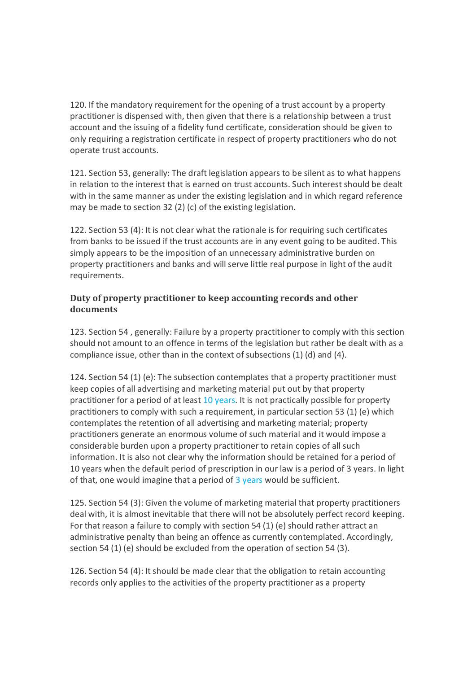120. If the mandatory requirement for the opening of a trust account by a property practitioner is dispensed with, then given that there is a relationship between a trust account and the issuing of a fidelity fund certificate, consideration should be given to only requiring a registration certificate in respect of property practitioners who do not operate trust accounts.

121. Section 53, generally: The draft legislation appears to be silent as to what happens in relation to the interest that is earned on trust accounts. Such interest should be dealt with in the same manner as under the existing legislation and in which regard reference may be made to section 32 (2) (c) of the existing legislation.

122. Section 53 (4): It is not clear what the rationale is for requiring such certificates from banks to be issued if the trust accounts are in any event going to be audited. This simply appears to be the imposition of an unnecessary administrative burden on property practitioners and banks and will serve little real purpose in light of the audit requirements.

### **Duty of property practitioner to keep accounting records and other documents**

123. Section 54 , generally: Failure by a property practitioner to comply with this section should not amount to an offence in terms of the legislation but rather be dealt with as a compliance issue, other than in the context of subsections (1) (d) and (4).

124. Section 54 (1) (e): The subsection contemplates that a property practitioner must keep copies of all advertising and marketing material put out by that property practitioner for a period of at least 10 years. It is not practically possible for property practitioners to comply with such a requirement, in particular section 53 (1) (e) which contemplates the retention of all advertising and marketing material; property practitioners generate an enormous volume of such material and it would impose a considerable burden upon a property practitioner to retain copies of all such information. It is also not clear why the information should be retained for a period of 10 years when the default period of prescription in our law is a period of 3 years. In light of that, one would imagine that a period of  $\frac{3 \text{ years}}{2 \text{ years}}$  would be sufficient.

125. Section 54 (3): Given the volume of marketing material that property practitioners deal with, it is almost inevitable that there will not be absolutely perfect record keeping. For that reason a failure to comply with section 54 (1) (e) should rather attract an administrative penalty than being an offence as currently contemplated. Accordingly, section 54 (1) (e) should be excluded from the operation of section 54 (3).

126. Section 54 (4): It should be made clear that the obligation to retain accounting records only applies to the activities of the property practitioner as a property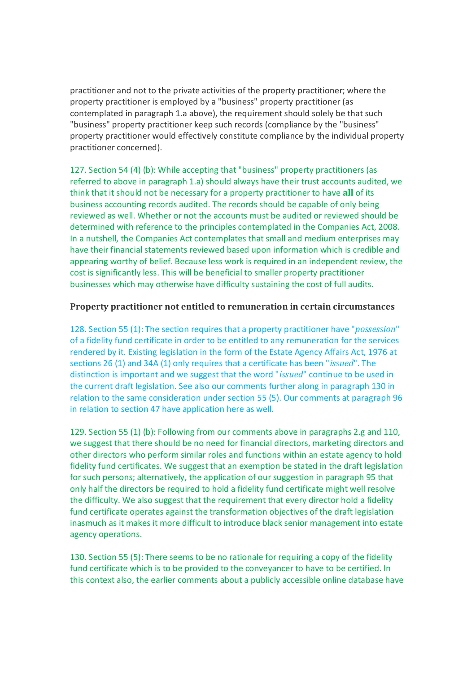practitioner and not to the private activities of the property practitioner; where the property practitioner is employed by a "business" property practitioner (as contemplated in paragraph 1.a above), the requirement should solely be that such "business" property practitioner keep such records (compliance by the "business" property practitioner would effectively constitute compliance by the individual property practitioner concerned).

127. Section 54 (4) (b): While accepting that "business" property practitioners (as referred to above in paragraph 1.a) should always have their trust accounts audited, we think that it should not be necessary for a property practitioner to have **all** of its business accounting records audited. The records should be capable of only being reviewed as well. Whether or not the accounts must be audited or reviewed should be determined with reference to the principles contemplated in the Companies Act, 2008. In a nutshell, the Companies Act contemplates that small and medium enterprises may have their financial statements reviewed based upon information which is credible and appearing worthy of belief. Because less work is required in an independent review, the cost is significantly less. This will be beneficial to smaller property practitioner businesses which may otherwise have difficulty sustaining the cost of full audits.

### **Property practitioner not entitled to remuneration in certain circumstances**

128. Section 55 (1): The section requires that a property practitioner have "*possession*" of a fidelity fund certificate in order to be entitled to any remuneration for the services rendered by it. Existing legislation in the form of the Estate Agency Affairs Act, 1976 at sections 26 (1) and 34A (1) only requires that a certificate has been "*issued*". The distinction is important and we suggest that the word "*issued*" continue to be used in the current draft legislation. See also our comments further along in paragraph 130 in relation to the same consideration under section 55 (5). Our comments at paragraph 96 in relation to section 47 have application here as well.

129. Section 55 (1) (b): Following from our comments above in paragraphs 2.g and 110, we suggest that there should be no need for financial directors, marketing directors and other directors who perform similar roles and functions within an estate agency to hold fidelity fund certificates. We suggest that an exemption be stated in the draft legislation for such persons; alternatively, the application of our suggestion in paragraph 95 that only half the directors be required to hold a fidelity fund certificate might well resolve the difficulty. We also suggest that the requirement that every director hold a fidelity fund certificate operates against the transformation objectives of the draft legislation inasmuch as it makes it more difficult to introduce black senior management into estate agency operations.

130. Section 55 (5): There seems to be no rationale for requiring a copy of the fidelity fund certificate which is to be provided to the conveyancer to have to be certified. In this context also, the earlier comments about a publicly accessible online database have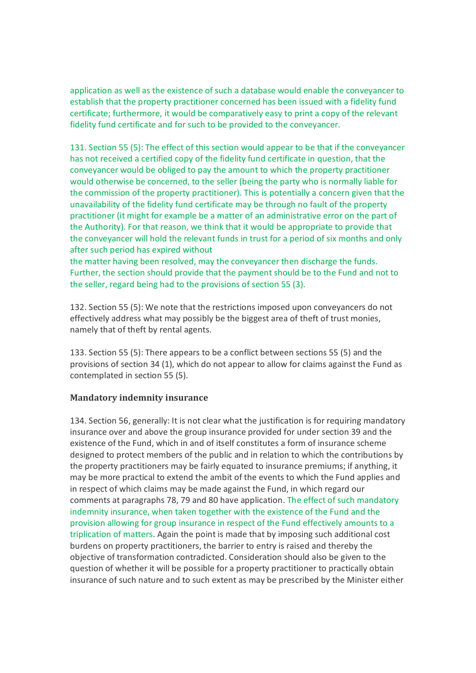application as well as the existence of such a database would enable the conveyancer to establish that the property practitioner concerned has been issued with a fidelity fund certificate; furthermore, it would be comparatively easy to print a copy of the relevant fidelity fund certificate and for such to be provided to the conveyancer.

131. Section 55 (5): The effect of this section would appear to be that if the conveyancer has not received a certified copy of the fidelity fund certificate in question, that the conveyancer would be obliged to pay the amount to which the property practitioner would otherwise be concerned, to the seller (being the party who is normally liable for the commission of the property practitioner). This is potentially a concern given that the unavailability of the fidelity fund certificate may be through no fault of the property practitioner (it might for example be a matter of an administrative error on the part of the Authority). For that reason, we think that it would be appropriate to provide that the conveyancer will hold the relevant funds in trust for a period of six months and only after such period has expired without

the matter having been resolved, may the conveyancer then discharge the funds. Further, the section should provide that the payment should be to the Fund and not to the seller, regard being had to the provisions of section 55 (3).

132. Section 55 (5): We note that the restrictions imposed upon conveyancers do not effectively address what may possibly be the biggest area of theft of trust monies, namely that of theft by rental agents.

133. Section 55 (5): There appears to be a conflict between sections 55 (5) and the provisions of section 34 (1), which do not appear to allow for claims against the Fund as contemplated in section 55 (5).

### **Mandatory indemnity insurance**

134. Section 56, generally: It is not clear what the justification is for requiring mandatory insurance over and above the group insurance provided for under section 39 and the existence of the Fund, which in and of itself constitutes a form of insurance scheme designed to protect members of the public and in relation to which the contributions by the property practitioners may be fairly equated to insurance premiums; if anything, it may be more practical to extend the ambit of the events to which the Fund applies and in respect of which claims may be made against the Fund, in which regard our comments at paragraphs 78, 79 and 80 have application. The effect of such mandatory indemnity insurance, when taken together with the existence of the Fund and the provision allowing for group insurance in respect of the Fund effectively amounts to a triplication of matters. Again the point is made that by imposing such additional cost burdens on property practitioners, the barrier to entry is raised and thereby the objective of transformation contradicted. Consideration should also be given to the question of whether it will be possible for a property practitioner to practically obtain insurance of such nature and to such extent as may be prescribed by the Minister either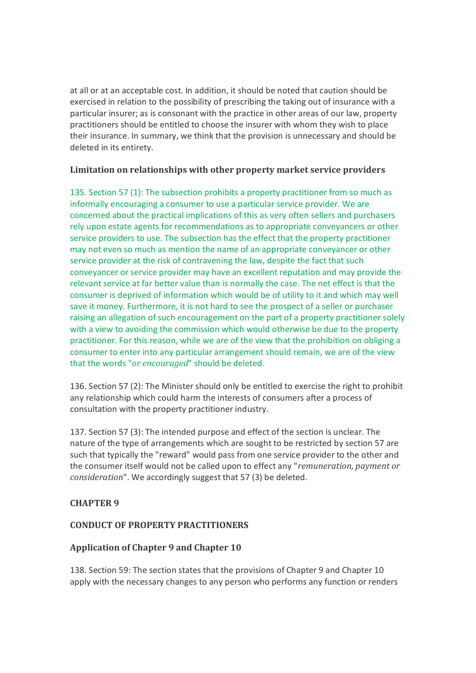at all or at an acceptable cost. In addition, it should be noted that caution should be exercised in relation to the possibility of prescribing the taking out of insurance with a particular insurer; as is consonant with the practice in other areas of our law, property practitioners should be entitled to choose the insurer with whom they wish to place their insurance. In summary, we think that the provision is unnecessary and should be deleted in its entirety.

### **Limitation on relationships with other property market service providers**

135. Section 57 (1): The subsection prohibits a property practitioner from so much as informally encouraging a consumer to use a particular service provider. We are concerned about the practical implications of this as very often sellers and purchasers rely upon estate agents for recommendations as to appropriate conveyancers or other service providers to use. The subsection has the effect that the property practitioner may not even so much as mention the name of an appropriate conveyancer or other service provider at the risk of contravening the law, despite the fact that such conveyancer or service provider may have an excellent reputation and may provide the relevant service at far better value than is normally the case. The net effect is that the consumer is deprived of information which would be of utility to it and which may well save it money. Furthermore, it is not hard to see the prospect of a seller or purchaser raising an allegation of such encouragement on the part of a property practitioner solely with a view to avoiding the commission which would otherwise be due to the property practitioner. For this reason, while we are of the view that the prohibition on obliging a consumer to enter into any particular arrangement should remain, we are of the view that the words "*or encouraged*" should be deleted.

136. Section 57 (2): The Minister should only be entitled to exercise the right to prohibit any relationship which could harm the interests of consumers after a process of consultation with the property practitioner industry.

137. Section 57 (3): The intended purpose and effect of the section is unclear. The nature of the type of arrangements which are sought to be restricted by section 57 are such that typically the "reward" would pass from one service provider to the other and the consumer itself would not be called upon to effect any "*remuneration, payment or consideration*". We accordingly suggest that 57 (3) be deleted.

# **CHAPTER 9**

# **CONDUCT OF PROPERTY PRACTITIONERS**

# **Application of Chapter 9 and Chapter 10**

138. Section 59: The section states that the provisions of Chapter 9 and Chapter 10 apply with the necessary changes to any person who performs any function or renders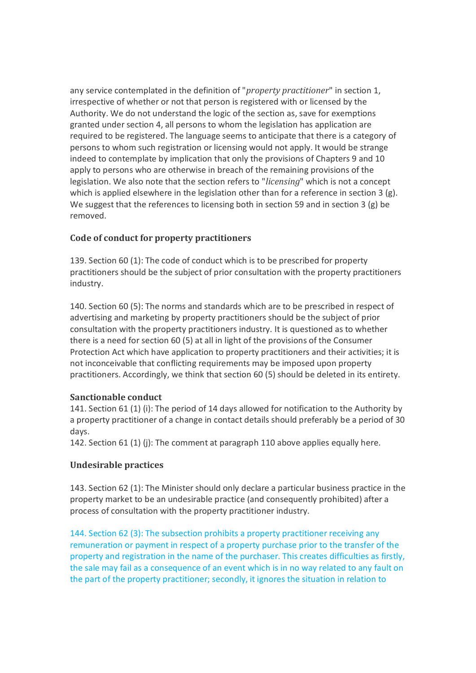any service contemplated in the definition of "*property practitioner*" in section 1, irrespective of whether or not that person is registered with or licensed by the Authority. We do not understand the logic of the section as, save for exemptions granted under section 4, all persons to whom the legislation has application are required to be registered. The language seems to anticipate that there is a category of persons to whom such registration or licensing would not apply. It would be strange indeed to contemplate by implication that only the provisions of Chapters 9 and 10 apply to persons who are otherwise in breach of the remaining provisions of the legislation. We also note that the section refers to "*licensing*" which is not a concept which is applied elsewhere in the legislation other than for a reference in section 3 (g). We suggest that the references to licensing both in section 59 and in section 3 (g) be removed.

# **Code of conduct for property practitioners**

139. Section 60 (1): The code of conduct which is to be prescribed for property practitioners should be the subject of prior consultation with the property practitioners industry.

140. Section 60 (5): The norms and standards which are to be prescribed in respect of advertising and marketing by property practitioners should be the subject of prior consultation with the property practitioners industry. It is questioned as to whether there is a need for section 60 (5) at all in light of the provisions of the Consumer Protection Act which have application to property practitioners and their activities; it is not inconceivable that conflicting requirements may be imposed upon property practitioners. Accordingly, we think that section 60 (5) should be deleted in its entirety.

### **Sanctionable conduct**

141. Section 61 (1) (i): The period of 14 days allowed for notification to the Authority by a property practitioner of a change in contact details should preferably be a period of 30 days.

142. Section 61 (1) (j): The comment at paragraph 110 above applies equally here.

# **Undesirable practices**

143. Section 62 (1): The Minister should only declare a particular business practice in the property market to be an undesirable practice (and consequently prohibited) after a process of consultation with the property practitioner industry.

144. Section 62 (3): The subsection prohibits a property practitioner receiving any remuneration or payment in respect of a property purchase prior to the transfer of the property and registration in the name of the purchaser. This creates difficulties as firstly, the sale may fail as a consequence of an event which is in no way related to any fault on the part of the property practitioner; secondly, it ignores the situation in relation to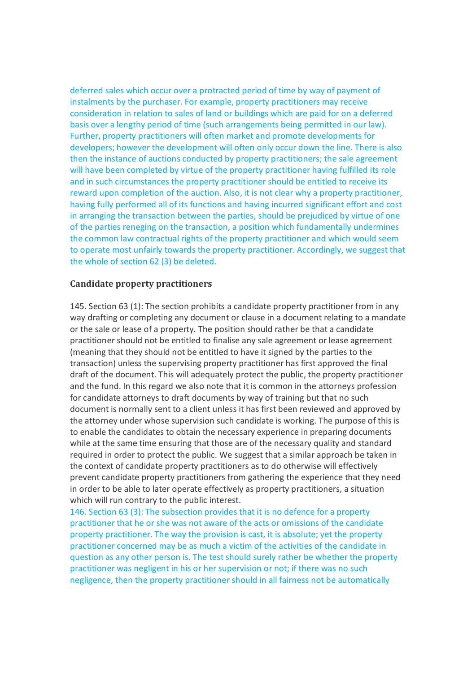deferred sales which occur over a protracted period of time by way of payment of instalments by the purchaser. For example, property practitioners may receive consideration in relation to sales of land or buildings which are paid for on a deferred basis over a lengthy period of time (such arrangements being permitted in our law). Further, property practitioners will often market and promote developments for developers; however the development will often only occur down the line. There is also then the instance of auctions conducted by property practitioners; the sale agreement will have been completed by virtue of the property practitioner having fulfilled its role and in such circumstances the property practitioner should be entitled to receive its reward upon completion of the auction. Also, it is not clear why a property practitioner, having fully performed all of its functions and having incurred significant effort and cost in arranging the transaction between the parties, should be prejudiced by virtue of one of the parties reneging on the transaction, a position which fundamentally undermines the common law contractual rights of the property practitioner and which would seem to operate most unfairly towards the property practitioner. Accordingly, we suggest that the whole of section 62 (3) be deleted.

#### **Candidate property practitioners**

145. Section 63 (1): The section prohibits a candidate property practitioner from in any way drafting or completing any document or clause in a document relating to a mandate or the sale or lease of a property. The position should rather be that a candidate practitioner should not be entitled to finalise any sale agreement or lease agreement (meaning that they should not be entitled to have it signed by the parties to the transaction) unless the supervising property practitioner has first approved the final draft of the document. This will adequately protect the public, the property practitioner and the fund. In this regard we also note that it is common in the attorneys profession for candidate attorneys to draft documents by way of training but that no such document is normally sent to a client unless it has first been reviewed and approved by the attorney under whose supervision such candidate is working. The purpose of this is to enable the candidates to obtain the necessary experience in preparing documents while at the same time ensuring that those are of the necessary quality and standard required in order to protect the public. We suggest that a similar approach be taken in the context of candidate property practitioners as to do otherwise will effectively prevent candidate property practitioners from gathering the experience that they need in order to be able to later operate effectively as property practitioners, a situation which will run contrary to the public interest.

146. Section 63 (3): The subsection provides that it is no defence for a property practitioner that he or she was not aware of the acts or omissions of the candidate property practitioner. The way the provision is cast, it is absolute; yet the property practitioner concerned may be as much a victim of the activities of the candidate in question as any other person is. The test should surely rather be whether the property practitioner was negligent in his or her supervision or not; if there was no such negligence, then the property practitioner should in all fairness not be automatically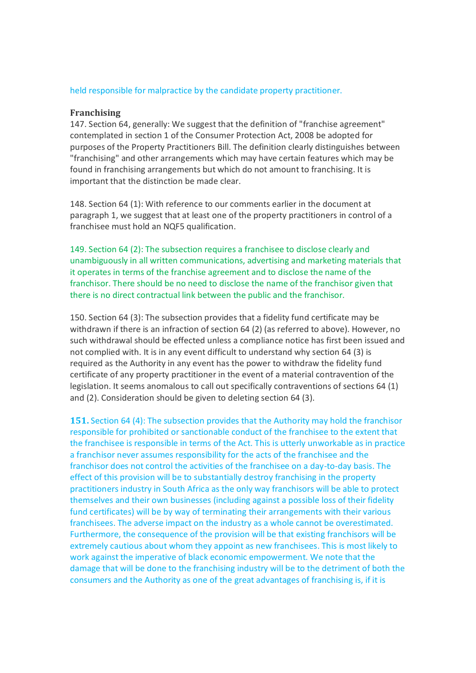#### held responsible for malpractice by the candidate property practitioner.

#### **Franchising**

147. Section 64, generally: We suggest that the definition of "franchise agreement" contemplated in section 1 of the Consumer Protection Act, 2008 be adopted for purposes of the Property Practitioners Bill. The definition clearly distinguishes between "franchising" and other arrangements which may have certain features which may be found in franchising arrangements but which do not amount to franchising. It is important that the distinction be made clear.

148. Section 64 (1): With reference to our comments earlier in the document at paragraph 1, we suggest that at least one of the property practitioners in control of a franchisee must hold an NQF5 qualification.

149. Section 64 (2): The subsection requires a franchisee to disclose clearly and unambiguously in all written communications, advertising and marketing materials that it operates in terms of the franchise agreement and to disclose the name of the franchisor. There should be no need to disclose the name of the franchisor given that there is no direct contractual link between the public and the franchisor.

150. Section 64 (3): The subsection provides that a fidelity fund certificate may be withdrawn if there is an infraction of section 64 (2) (as referred to above). However, no such withdrawal should be effected unless a compliance notice has first been issued and not complied with. It is in any event difficult to understand why section 64 (3) is required as the Authority in any event has the power to withdraw the fidelity fund certificate of any property practitioner in the event of a material contravention of the legislation. It seems anomalous to call out specifically contraventions of sections 64 (1) and (2). Consideration should be given to deleting section 64 (3).

**151.** Section 64 (4): The subsection provides that the Authority may hold the franchisor responsible for prohibited or sanctionable conduct of the franchisee to the extent that the franchisee is responsible in terms of the Act. This is utterly unworkable as in practice a franchisor never assumes responsibility for the acts of the franchisee and the franchisor does not control the activities of the franchisee on a day-to-day basis. The effect of this provision will be to substantially destroy franchising in the property practitioners industry in South Africa as the only way franchisors will be able to protect themselves and their own businesses (including against a possible loss of their fidelity fund certificates) will be by way of terminating their arrangements with their various franchisees. The adverse impact on the industry as a whole cannot be overestimated. Furthermore, the consequence of the provision will be that existing franchisors will be extremely cautious about whom they appoint as new franchisees. This is most likely to work against the imperative of black economic empowerment. We note that the damage that will be done to the franchising industry will be to the detriment of both the consumers and the Authority as one of the great advantages of franchising is, if it is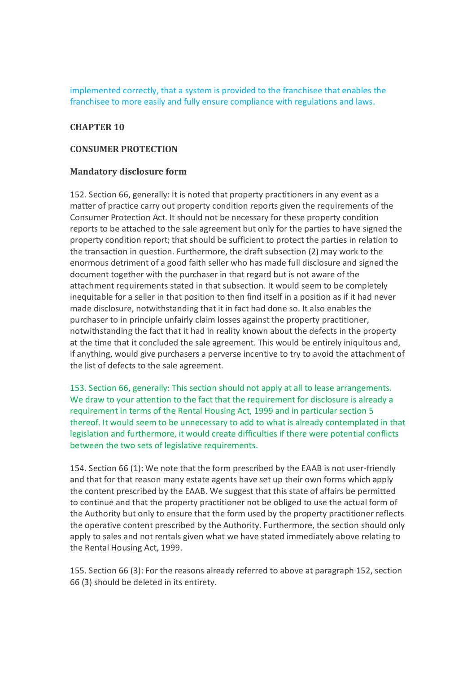implemented correctly, that a system is provided to the franchisee that enables the franchisee to more easily and fully ensure compliance with regulations and laws.

### **CHAPTER 10**

#### **CONSUMER PROTECTION**

### **Mandatory disclosure form**

152. Section 66, generally: It is noted that property practitioners in any event as a matter of practice carry out property condition reports given the requirements of the Consumer Protection Act. It should not be necessary for these property condition reports to be attached to the sale agreement but only for the parties to have signed the property condition report; that should be sufficient to protect the parties in relation to the transaction in question. Furthermore, the draft subsection (2) may work to the enormous detriment of a good faith seller who has made full disclosure and signed the document together with the purchaser in that regard but is not aware of the attachment requirements stated in that subsection. It would seem to be completely inequitable for a seller in that position to then find itself in a position as if it had never made disclosure, notwithstanding that it in fact had done so. It also enables the purchaser to in principle unfairly claim losses against the property practitioner, notwithstanding the fact that it had in reality known about the defects in the property at the time that it concluded the sale agreement. This would be entirely iniquitous and, if anything, would give purchasers a perverse incentive to try to avoid the attachment of the list of defects to the sale agreement.

153. Section 66, generally: This section should not apply at all to lease arrangements. We draw to your attention to the fact that the requirement for disclosure is already a requirement in terms of the Rental Housing Act, 1999 and in particular section 5 thereof. It would seem to be unnecessary to add to what is already contemplated in that legislation and furthermore, it would create difficulties if there were potential conflicts between the two sets of legislative requirements.

154. Section 66 (1): We note that the form prescribed by the EAAB is not user-friendly and that for that reason many estate agents have set up their own forms which apply the content prescribed by the EAAB. We suggest that this state of affairs be permitted to continue and that the property practitioner not be obliged to use the actual form of the Authority but only to ensure that the form used by the property practitioner reflects the operative content prescribed by the Authority. Furthermore, the section should only apply to sales and not rentals given what we have stated immediately above relating to the Rental Housing Act, 1999.

155. Section 66 (3): For the reasons already referred to above at paragraph 152, section 66 (3) should be deleted in its entirety.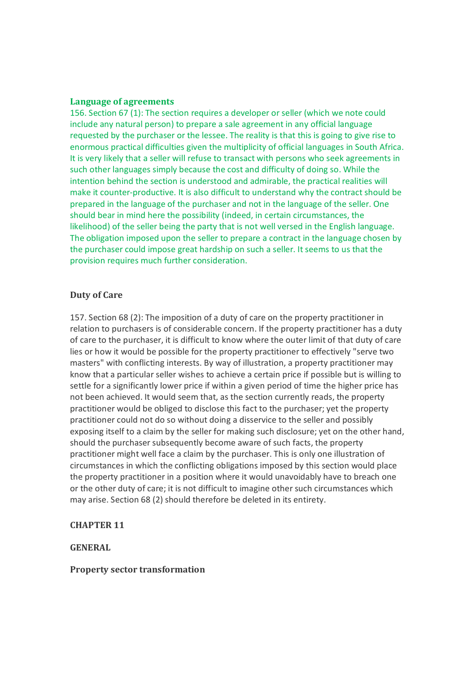#### **Language of agreements**

156. Section 67 (1): The section requires a developer or seller (which we note could include any natural person) to prepare a sale agreement in any official language requested by the purchaser or the lessee. The reality is that this is going to give rise to enormous practical difficulties given the multiplicity of official languages in South Africa. It is very likely that a seller will refuse to transact with persons who seek agreements in such other languages simply because the cost and difficulty of doing so. While the intention behind the section is understood and admirable, the practical realities will make it counter-productive. It is also difficult to understand why the contract should be prepared in the language of the purchaser and not in the language of the seller. One should bear in mind here the possibility (indeed, in certain circumstances, the likelihood) of the seller being the party that is not well versed in the English language. The obligation imposed upon the seller to prepare a contract in the language chosen by the purchaser could impose great hardship on such a seller. It seems to us that the provision requires much further consideration.

#### **Duty of Care**

157. Section 68 (2): The imposition of a duty of care on the property practitioner in relation to purchasers is of considerable concern. If the property practitioner has a duty of care to the purchaser, it is difficult to know where the outer limit of that duty of care lies or how it would be possible for the property practitioner to effectively "serve two masters" with conflicting interests. By way of illustration, a property practitioner may know that a particular seller wishes to achieve a certain price if possible but is willing to settle for a significantly lower price if within a given period of time the higher price has not been achieved. It would seem that, as the section currently reads, the property practitioner would be obliged to disclose this fact to the purchaser; yet the property practitioner could not do so without doing a disservice to the seller and possibly exposing itself to a claim by the seller for making such disclosure; yet on the other hand, should the purchaser subsequently become aware of such facts, the property practitioner might well face a claim by the purchaser. This is only one illustration of circumstances in which the conflicting obligations imposed by this section would place the property practitioner in a position where it would unavoidably have to breach one or the other duty of care; it is not difficult to imagine other such circumstances which may arise. Section 68 (2) should therefore be deleted in its entirety.

#### **CHAPTER 11**

**GENERAL** 

#### **Property sector transformation**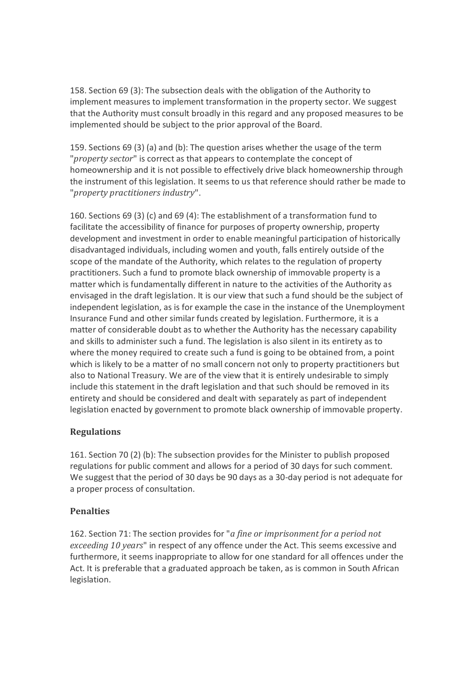158. Section 69 (3): The subsection deals with the obligation of the Authority to implement measures to implement transformation in the property sector. We suggest that the Authority must consult broadly in this regard and any proposed measures to be implemented should be subject to the prior approval of the Board.

159. Sections 69 (3) (a) and (b): The question arises whether the usage of the term "*property sector*" is correct as that appears to contemplate the concept of homeownership and it is not possible to effectively drive black homeownership through the instrument of this legislation. It seems to us that reference should rather be made to "*property practitioners industry*".

160. Sections 69 (3) (c) and 69 (4): The establishment of a transformation fund to facilitate the accessibility of finance for purposes of property ownership, property development and investment in order to enable meaningful participation of historically disadvantaged individuals, including women and youth, falls entirely outside of the scope of the mandate of the Authority, which relates to the regulation of property practitioners. Such a fund to promote black ownership of immovable property is a matter which is fundamentally different in nature to the activities of the Authority as envisaged in the draft legislation. It is our view that such a fund should be the subject of independent legislation, as is for example the case in the instance of the Unemployment Insurance Fund and other similar funds created by legislation. Furthermore, it is a matter of considerable doubt as to whether the Authority has the necessary capability and skills to administer such a fund. The legislation is also silent in its entirety as to where the money required to create such a fund is going to be obtained from, a point which is likely to be a matter of no small concern not only to property practitioners but also to National Treasury. We are of the view that it is entirely undesirable to simply include this statement in the draft legislation and that such should be removed in its entirety and should be considered and dealt with separately as part of independent legislation enacted by government to promote black ownership of immovable property.

# **Regulations**

161. Section 70 (2) (b): The subsection provides for the Minister to publish proposed regulations for public comment and allows for a period of 30 days for such comment. We suggest that the period of 30 days be 90 days as a 30-day period is not adequate for a proper process of consultation.

# **Penalties**

162. Section 71: The section provides for "*a fine or imprisonment for a period not exceeding 10 years*" in respect of any offence under the Act. This seems excessive and furthermore, it seems inappropriate to allow for one standard for all offences under the Act. It is preferable that a graduated approach be taken, as is common in South African legislation.